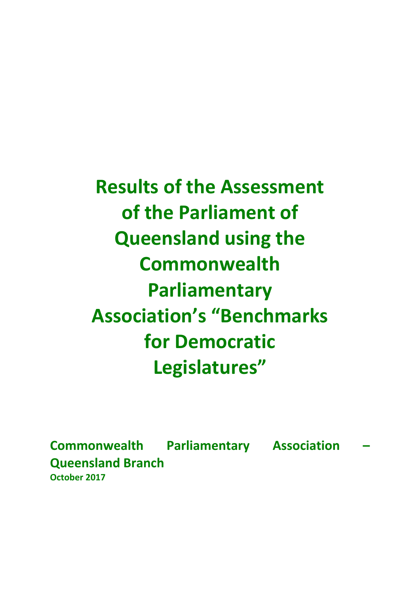**Results of the Assessment of the Parliament of Queensland using the Commonwealth Parliamentary Association's "Benchmarks for Democratic Legislatures"**

**Commonwealth Parliamentary Association – Queensland Branch October 2017**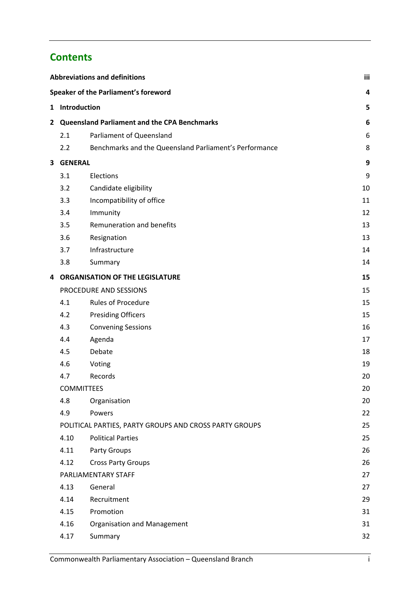# **Contents**

| <b>Abbreviations and definitions</b> |                | iii                                                    |    |
|--------------------------------------|----------------|--------------------------------------------------------|----|
|                                      |                | Speaker of the Parliament's foreword                   | 4  |
|                                      | 1 Introduction |                                                        | 5  |
|                                      |                | 2 Queensland Parliament and the CPA Benchmarks         | 6  |
|                                      | 2.1            | Parliament of Queensland                               | 6  |
|                                      | 2.2            | Benchmarks and the Queensland Parliament's Performance | 8  |
| 3                                    | <b>GENERAL</b> |                                                        | 9  |
|                                      | 3.1            | Elections                                              | 9  |
|                                      | 3.2            | Candidate eligibility                                  | 10 |
|                                      | 3.3            | Incompatibility of office                              | 11 |
|                                      | 3.4            | Immunity                                               | 12 |
|                                      | 3.5            | Remuneration and benefits                              | 13 |
|                                      | 3.6            | Resignation                                            | 13 |
|                                      | 3.7            | Infrastructure                                         | 14 |
|                                      | 3.8            | Summary                                                | 14 |
| 4                                    |                | <b>ORGANISATION OF THE LEGISLATURE</b>                 | 15 |
|                                      |                | PROCEDURE AND SESSIONS                                 | 15 |
|                                      | 4.1            | Rules of Procedure                                     | 15 |
|                                      | 4.2            | <b>Presiding Officers</b>                              | 15 |
|                                      | 4.3            | <b>Convening Sessions</b>                              | 16 |
|                                      | 4.4            | Agenda                                                 | 17 |
|                                      | 4.5            | Debate                                                 | 18 |
|                                      | 4.6            | Voting                                                 | 19 |
|                                      | 4.7            | Records                                                | 20 |
|                                      |                | <b>COMMITTEES</b>                                      | 20 |
|                                      | 4.8            | Organisation                                           | 20 |
|                                      | 4.9            | Powers                                                 | 22 |
|                                      |                | POLITICAL PARTIES, PARTY GROUPS AND CROSS PARTY GROUPS | 25 |
|                                      | 4.10           | <b>Political Parties</b>                               | 25 |
|                                      | 4.11           | Party Groups                                           | 26 |
|                                      | 4.12           | <b>Cross Party Groups</b>                              | 26 |
|                                      |                | PARLIAMENTARY STAFF                                    | 27 |
|                                      | 4.13           | General                                                | 27 |
|                                      | 4.14           | Recruitment                                            | 29 |
|                                      | 4.15           | Promotion                                              | 31 |
|                                      | 4.16           | Organisation and Management                            | 31 |
|                                      | 4.17           | Summary                                                | 32 |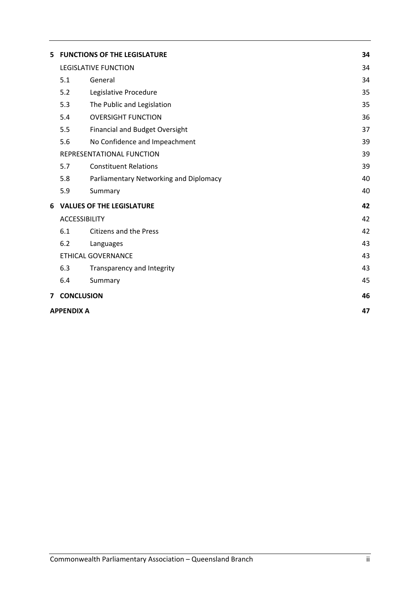| 5. |                      | <b>FUNCTIONS OF THE LEGISLATURE</b>    | 34 |
|----|----------------------|----------------------------------------|----|
|    |                      | LEGISLATIVE FUNCTION                   | 34 |
|    | 5.1                  | General                                | 34 |
|    | 5.2                  | Legislative Procedure                  | 35 |
|    | 5.3                  | The Public and Legislation             | 35 |
|    | 5.4                  | <b>OVERSIGHT FUNCTION</b>              | 36 |
|    | 5.5                  | Financial and Budget Oversight         | 37 |
|    | 5.6                  | No Confidence and Impeachment          | 39 |
|    |                      | REPRESENTATIONAL FUNCTION              | 39 |
|    | 5.7                  | <b>Constituent Relations</b>           | 39 |
|    | 5.8                  | Parliamentary Networking and Diplomacy | 40 |
|    | 5.9                  | Summary                                | 40 |
| 6  |                      | <b>VALUES OF THE LEGISLATURE</b>       | 42 |
|    | <b>ACCESSIBILITY</b> |                                        | 42 |
|    | 6.1                  | <b>Citizens and the Press</b>          | 42 |
|    | 6.2                  | Languages                              | 43 |
|    |                      | <b>ETHICAL GOVERNANCE</b>              | 43 |
|    | 6.3                  | Transparency and Integrity             | 43 |
|    | 6.4                  | Summary                                | 45 |
|    | 7 CONCLUSION         |                                        | 46 |
|    | <b>APPENDIX A</b>    |                                        | 47 |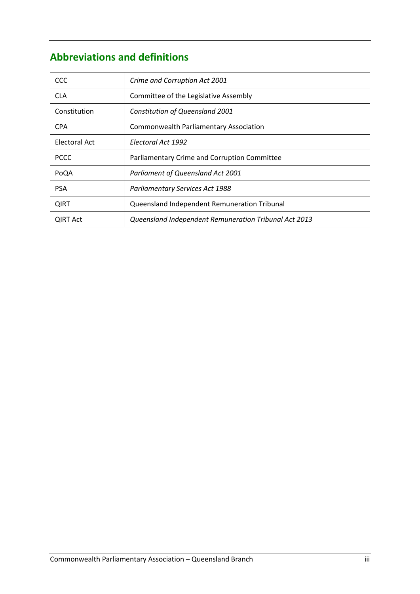# **Abbreviations and definitions**

| <b>CCC</b>      | Crime and Corruption Act 2001                         |
|-----------------|-------------------------------------------------------|
| <b>CLA</b>      | Committee of the Legislative Assembly                 |
| Constitution    | Constitution of Queensland 2001                       |
| <b>CPA</b>      | <b>Commonwealth Parliamentary Association</b>         |
| Electoral Act   | Electoral Act 1992                                    |
| <b>PCCC</b>     | Parliamentary Crime and Corruption Committee          |
| PoQA            | Parliament of Queensland Act 2001                     |
| <b>PSA</b>      | <b>Parliamentary Services Act 1988</b>                |
| <b>QIRT</b>     | Queensland Independent Remuneration Tribunal          |
| <b>QIRT Act</b> | Queensland Independent Remuneration Tribunal Act 2013 |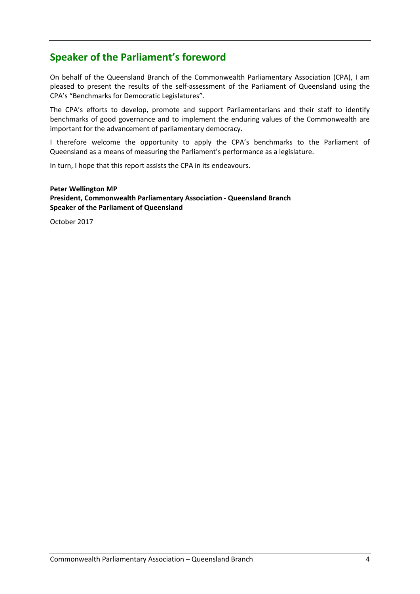# **Speaker of the Parliament's foreword**

On behalf of the Queensland Branch of the Commonwealth Parliamentary Association (CPA), I am pleased to present the results of the self‐assessment of the Parliament of Queensland using the CPA's "Benchmarks for Democratic Legislatures".

The CPA's efforts to develop, promote and support Parliamentarians and their staff to identify benchmarks of good governance and to implement the enduring values of the Commonwealth are important for the advancement of parliamentary democracy.

I therefore welcome the opportunity to apply the CPA's benchmarks to the Parliament of Queensland as a means of measuring the Parliament's performance as a legislature.

In turn, I hope that this report assists the CPA in its endeavours.

**Peter Wellington MP President, Commonwealth Parliamentary Association ‐ Queensland Branch Speaker of the Parliament of Queensland**

October 2017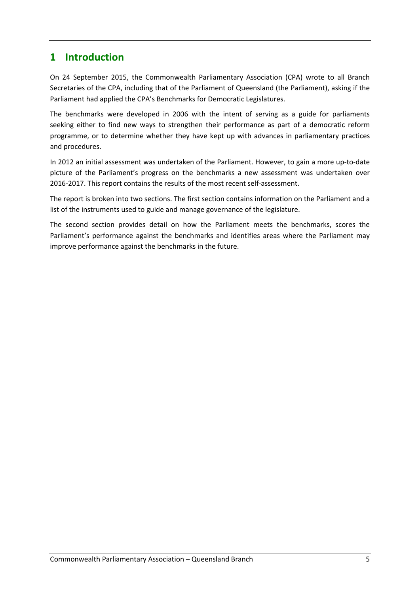# **1 Introduction**

On 24 September 2015, the Commonwealth Parliamentary Association (CPA) wrote to all Branch Secretaries of the CPA, including that of the Parliament of Queensland (the Parliament), asking if the Parliament had applied the CPA's Benchmarks for Democratic Legislatures.

The benchmarks were developed in 2006 with the intent of serving as a guide for parliaments seeking either to find new ways to strengthen their performance as part of a democratic reform programme, or to determine whether they have kept up with advances in parliamentary practices and procedures.

In 2012 an initial assessment was undertaken of the Parliament. However, to gain a more up‐to‐date picture of the Parliament's progress on the benchmarks a new assessment was undertaken over 2016‐2017. This report contains the results of the most recent self‐assessment.

The report is broken into two sections. The first section contains information on the Parliament and a list of the instruments used to guide and manage governance of the legislature.

The second section provides detail on how the Parliament meets the benchmarks, scores the Parliament's performance against the benchmarks and identifies areas where the Parliament may improve performance against the benchmarks in the future.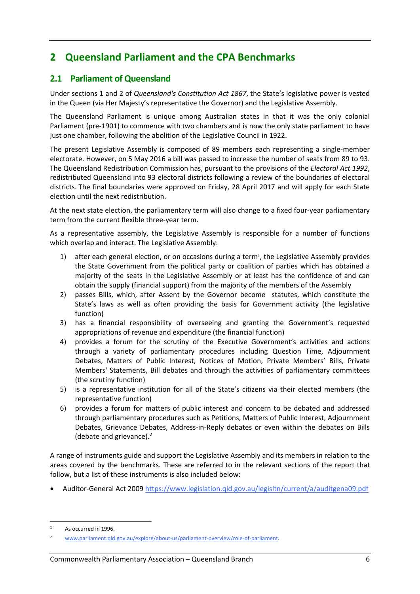# **2 Queensland Parliament and the CPA Benchmarks**

# **2.1 Parliament of Queensland**

Under sections 1 and 2 of *Queensland's Constitution Act 1867*, the State's legislative power is vested in the Queen (via Her Majesty's representative the Governor) and the Legislative Assembly.

The Queensland Parliament is unique among Australian states in that it was the only colonial Parliament (pre‐1901) to commence with two chambers and is now the only state parliament to have just one chamber, following the abolition of the Legislative Council in 1922.

The present Legislative Assembly is composed of 89 members each representing a single-member electorate. However, on 5 May 2016 a bill was passed to increase the number of seats from 89 to 93. The Queensland Redistribution Commission has, pursuant to the provisions of the *Electoral Act 1992*, redistributed Queensland into 93 electoral districts following a review of the boundaries of electoral districts. The final boundaries were approved on Friday, 28 April 2017 and will apply for each State election until the next redistribution.

At the next state election, the parliamentary term will also change to a fixed four‐year parliamentary term from the current flexible three‐year term.

As a representative assembly, the Legislative Assembly is responsible for a number of functions which overlap and interact. The Legislative Assembly:

- 1) after each general election, or on occasions during a term<sup>1</sup>, the Legislative Assembly provides the State Government from the political party or coalition of parties which has obtained a majority of the seats in the Legislative Assembly or at least has the confidence of and can obtain the supply (financial support) from the majority of the members of the Assembly
- 2) passes Bills, which, after Assent by the Governor become statutes, which constitute the State's laws as well as often providing the basis for Government activity (the legislative function)
- 3) has a financial responsibility of overseeing and granting the Government's requested appropriations of revenue and expenditure (the financial function)
- 4) provides a forum for the scrutiny of the Executive Government's activities and actions through a variety of parliamentary procedures including Question Time, Adjournment Debates, Matters of Public Interest, Notices of Motion, Private Members' Bills, Private Members' Statements, Bill debates and through the activities of parliamentary committees (the scrutiny function)
- 5) is a representative institution for all of the State's citizens via their elected members (the representative function)
- 6) provides a forum for matters of public interest and concern to be debated and addressed through parliamentary procedures such as Petitions, Matters of Public Interest, Adjournment Debates, Grievance Debates, Address-in-Reply debates or even within the debates on Bills (debate and grievance).2

A range of instruments guide and support the Legislative Assembly and its members in relation to the areas covered by the benchmarks. These are referred to in the relevant sections of the report that follow, but a list of these instruments is also included below:

Auditor‐General Act 2009 https://www.legislation.qld.gov.au/legisltn/current/a/auditgena09.pdf

 As occurred in 1996.

<sup>2</sup> www.parliament.qld.gov.au/explore/about‐us/parliament‐overview/role‐of‐parliament.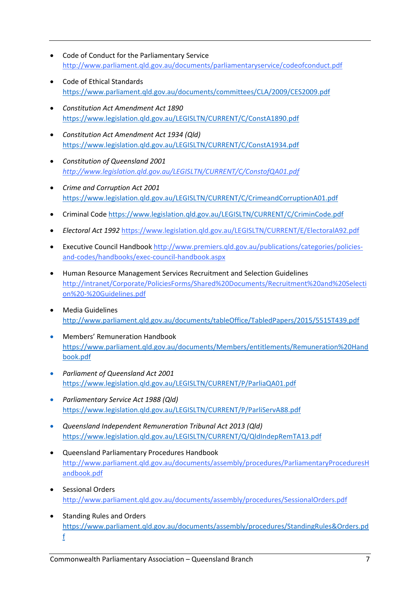- Code of Conduct for the Parliamentary Service http://www.parliament.qld.gov.au/documents/parliamentaryservice/codeofconduct.pdf
- Code of Ethical Standards https://www.parliament.qld.gov.au/documents/committees/CLA/2009/CES2009.pdf
- *Constitution Act Amendment Act 1890* https://www.legislation.qld.gov.au/LEGISLTN/CURRENT/C/ConstA1890.pdf
- *Constitution Act Amendment Act 1934 (Qld)* https://www.legislation.qld.gov.au/LEGISLTN/CURRENT/C/ConstA1934.pdf
- *Constitution of Queensland 2001 http://www.legislation.qld.gov.au/LEGISLTN/CURRENT/C/ConstofQA01.pdf*
- *Crime and Corruption Act 2001* https://www.legislation.qld.gov.au/LEGISLTN/CURRENT/C/CrimeandCorruptionA01.pdf
- Criminal Code https://www.legislation.qld.gov.au/LEGISLTN/CURRENT/C/CriminCode.pdf
- *Electoral Act 1992* https://www.legislation.qld.gov.au/LEGISLTN/CURRENT/E/ElectoralA92.pdf
- Executive Council Handbook http://www.premiers.qld.gov.au/publications/categories/policies‐ and‐codes/handbooks/exec‐council‐handbook.aspx
- Human Resource Management Services Recruitment and Selection Guidelines http://intranet/Corporate/PoliciesForms/Shared%20Documents/Recruitment%20and%20Selecti on%20‐%20Guidelines.pdf
- Media Guidelines http://www.parliament.qld.gov.au/documents/tableOffice/TabledPapers/2015/5515T439.pdf
- Members' Remuneration Handbook https://www.parliament.qld.gov.au/documents/Members/entitlements/Remuneration%20Hand book.pdf
- *Parliament of Queensland Act 2001* https://www.legislation.qld.gov.au/LEGISLTN/CURRENT/P/ParliaQA01.pdf
- *Parliamentary Service Act 1988 (Qld)* https://www.legislation.qld.gov.au/LEGISLTN/CURRENT/P/ParliServA88.pdf
- *Queensland Independent Remuneration Tribunal Act 2013 (Qld)* https://www.legislation.qld.gov.au/LEGISLTN/CURRENT/Q/QldIndepRemTA13.pdf
- Queensland Parliamentary Procedures Handbook http://www.parliament.qld.gov.au/documents/assembly/procedures/ParliamentaryProceduresH andbook.pdf
- Sessional Orders http://www.parliament.qld.gov.au/documents/assembly/procedures/SessionalOrders.pdf
- Standing Rules and Orders https://www.parliament.qld.gov.au/documents/assembly/procedures/StandingRules&Orders.pd f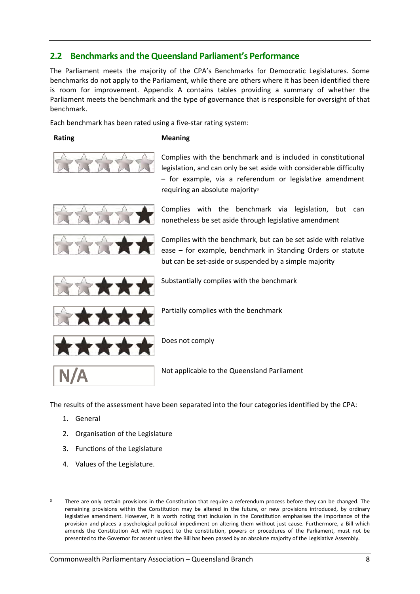# **2.2 Benchmarks and theQueensland Parliament's Performance**

The Parliament meets the majority of the CPA's Benchmarks for Democratic Legislatures. Some benchmarks do not apply to the Parliament, while there are others where it has been identified there is room for improvement. Appendix A contains tables providing a summary of whether the Parliament meets the benchmark and the type of governance that is responsible for oversight of that benchmark.

Each benchmark has been rated using a five‐star rating system:

#### **Rating Meaning**



Complies with the benchmark and is included in constitutional legislation, and can only be set aside with considerable difficulty – for example, via a referendum or legislative amendment requiring an absolute majority<sup>3</sup>





Complies with the benchmark via legislation, but can nonetheless be set aside through legislative amendment

Complies with the benchmark, but can be set aside with relative ease – for example, benchmark in Standing Orders or statute but can be set‐aside or suspended by a simple majority



Substantially complies with the benchmark

Partially complies with the benchmark



Does not comply

Not applicable to the Queensland Parliament

The results of the assessment have been separated into the four categories identified by the CPA:

- 1. General
- 2. Organisation of the Legislature
- 3. Functions of the Legislature
- 4. Values of the Legislature.

There are only certain provisions in the Constitution that require a referendum process before they can be changed. The remaining provisions within the Constitution may be altered in the future, or new provisions introduced, by ordinary legislative amendment. However, it is worth noting that inclusion in the Constitution emphasises the importance of the provision and places a psychological political impediment on altering them without just cause. Furthermore, a Bill which amends the Constitution Act with respect to the constitution, powers or procedures of the Parliament, must not be presented to the Governor for assent unless the Bill has been passed by an absolute majority of the Legislative Assembly.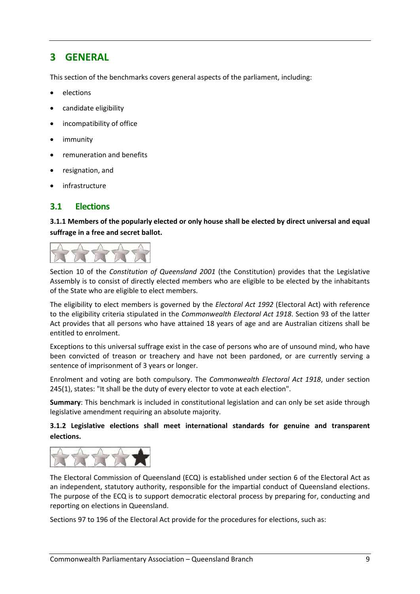# **3 GENERAL**

This section of the benchmarks covers general aspects of the parliament, including:

- elections
- candidate eligibility
- incompatibility of office
- immunity
- remuneration and benefits
- resignation, and
- infrastructure

#### **3.1 Elections**

**3.1.1 Members of the popularly elected or only house shall be elected by direct universal and equal suffrage in a free and secret ballot.** 



Section 10 of the *Constitution of Queensland 2001* (the Constitution) provides that the Legislative Assembly is to consist of directly elected members who are eligible to be elected by the inhabitants of the State who are eligible to elect members.

The eligibility to elect members is governed by the *Electoral Act 1992* (Electoral Act) with reference to the eligibility criteria stipulated in the *Commonwealth Electoral Act 1918*. Section 93 of the latter Act provides that all persons who have attained 18 years of age and are Australian citizens shall be entitled to enrolment.

Exceptions to this universal suffrage exist in the case of persons who are of unsound mind, who have been convicted of treason or treachery and have not been pardoned, or are currently serving a sentence of imprisonment of 3 years or longer.

Enrolment and voting are both compulsory. The *Commonwealth Electoral Act 1918*, under section 245(1), states: "It shall be the duty of every elector to vote at each election".

**Summary**: This benchmark is included in constitutional legislation and can only be set aside through legislative amendment requiring an absolute majority.

#### **3.1.2 Legislative elections shall meet international standards for genuine and transparent elections.**



The Electoral Commission of Queensland (ECQ) is established under section 6 of the Electoral Act as an independent, statutory authority, responsible for the impartial conduct of Queensland elections. The purpose of the ECQ is to support democratic electoral process by preparing for, conducting and reporting on elections in Queensland.

Sections 97 to 196 of the Electoral Act provide for the procedures for elections, such as: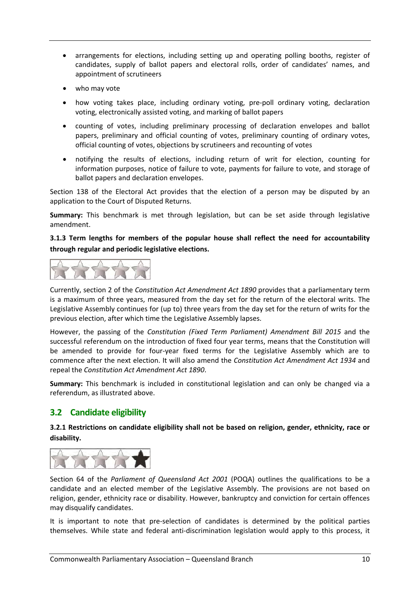- arrangements for elections, including setting up and operating polling booths, register of candidates, supply of ballot papers and electoral rolls, order of candidates' names, and appointment of scrutineers
- who may vote
- how voting takes place, including ordinary voting, pre‐poll ordinary voting, declaration voting, electronically assisted voting, and marking of ballot papers
- counting of votes, including preliminary processing of declaration envelopes and ballot papers, preliminary and official counting of votes, preliminary counting of ordinary votes, official counting of votes, objections by scrutineers and recounting of votes
- notifying the results of elections, including return of writ for election, counting for information purposes, notice of failure to vote, payments for failure to vote, and storage of ballot papers and declaration envelopes.

Section 138 of the Electoral Act provides that the election of a person may be disputed by an application to the Court of Disputed Returns.

**Summary:** This benchmark is met through legislation, but can be set aside through legislative amendment.

**3.1.3 Term lengths for members of the popular house shall reflect the need for accountability through regular and periodic legislative elections.** 



Currently, section 2 of the *Constitution Act Amendment Act 1890* provides that a parliamentary term is a maximum of three years, measured from the day set for the return of the electoral writs. The Legislative Assembly continues for (up to) three years from the day set for the return of writs for the previous election, after which time the Legislative Assembly lapses.

However, the passing of the *Constitution (Fixed Term Parliament) Amendment Bill 2015* and the successful referendum on the introduction of fixed four year terms, means that the Constitution will be amended to provide for four-year fixed terms for the Legislative Assembly which are to commence after the next election. It will also amend the *Constitution Act Amendment Act 1934* and repeal the *Constitution Act Amendment Act 1890*.

**Summary:** This benchmark is included in constitutional legislation and can only be changed via a referendum, as illustrated above.

# **3.2 Candidate eligibility**

**3.2.1 Restrictions on candidate eligibility shall not be based on religion, gender, ethnicity, race or disability.** 



Section 64 of the *Parliament of Queensland Act 2001* (POQA) outlines the qualifications to be a candidate and an elected member of the Legislative Assembly. The provisions are not based on religion, gender, ethnicity race or disability. However, bankruptcy and conviction for certain offences may disqualify candidates.

It is important to note that pre-selection of candidates is determined by the political parties themselves. While state and federal anti‐discrimination legislation would apply to this process, it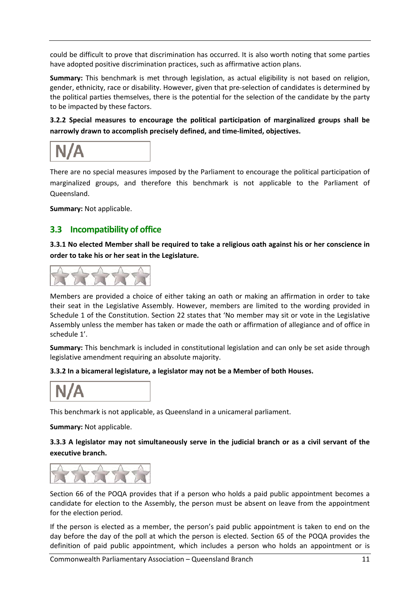could be difficult to prove that discrimination has occurred. It is also worth noting that some parties have adopted positive discrimination practices, such as affirmative action plans.

**Summary:** This benchmark is met through legislation, as actual eligibility is not based on religion, gender, ethnicity, race or disability. However, given that pre‐selection of candidates is determined by the political parties themselves, there is the potential for the selection of the candidate by the party to be impacted by these factors.

**3.2.2 Special measures to encourage the political participation of marginalized groups shall be narrowly drawn to accomplish precisely defined, and time‐limited, objectives.**

There are no special measures imposed by the Parliament to encourage the political participation of marginalized groups, and therefore this benchmark is not applicable to the Parliament of Queensland.

**Summary:** Not applicable.

# **3.3 Incompatibility of office**

3.3.1 No elected Member shall be required to take a religious oath against his or her conscience in **order to take his or her seat in the Legislature.** 



Members are provided a choice of either taking an oath or making an affirmation in order to take their seat in the Legislative Assembly. However, members are limited to the wording provided in Schedule 1 of the Constitution. Section 22 states that 'No member may sit or vote in the Legislative Assembly unless the member has taken or made the oath or affirmation of allegiance and of office in schedule 1'.

**Summary:** This benchmark is included in constitutional legislation and can only be set aside through legislative amendment requiring an absolute majority.

#### **3.3.2 In a bicameral legislature, a legislator may not be a Member of both Houses.**



This benchmark is not applicable, as Queensland in a unicameral parliament.

**Summary:** Not applicable.

#### 3.3.3 A legislator may not simultaneously serve in the judicial branch or as a civil servant of the **executive branch.**



Section 66 of the POQA provides that if a person who holds a paid public appointment becomes a candidate for election to the Assembly, the person must be absent on leave from the appointment for the election period.

If the person is elected as a member, the person's paid public appointment is taken to end on the day before the day of the poll at which the person is elected. Section 65 of the POQA provides the definition of paid public appointment, which includes a person who holds an appointment or is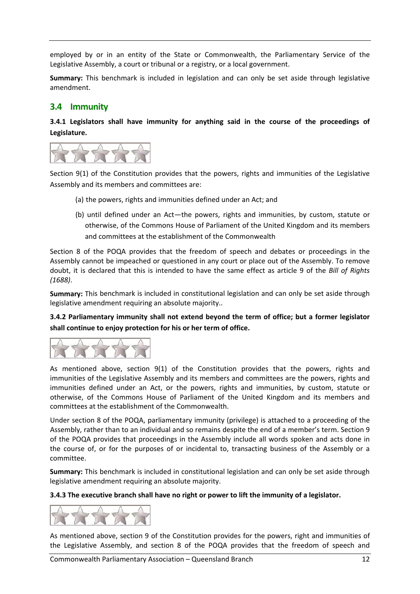employed by or in an entity of the State or Commonwealth, the Parliamentary Service of the Legislative Assembly, a court or tribunal or a registry, or a local government.

**Summary:** This benchmark is included in legislation and can only be set aside through legislative amendment.

## **3.4 Immunity**

**3.4.1 Legislators shall have immunity for anything said in the course of the proceedings of Legislature.** 



Section 9(1) of the Constitution provides that the powers, rights and immunities of the Legislative Assembly and its members and committees are:

- (a) the powers, rights and immunities defined under an Act; and
- (b) until defined under an Act—the powers, rights and immunities, by custom, statute or otherwise, of the Commons House of Parliament of the United Kingdom and its members and committees at the establishment of the Commonwealth

Section 8 of the POQA provides that the freedom of speech and debates or proceedings in the Assembly cannot be impeached or questioned in any court or place out of the Assembly. To remove doubt, it is declared that this is intended to have the same effect as article 9 of the *Bill of Rights (1688)*.

**Summary:** This benchmark is included in constitutional legislation and can only be set aside through legislative amendment requiring an absolute majority..

**3.4.2 Parliamentary immunity shall not extend beyond the term of office; but a former legislator shall continue to enjoy protection for his or her term of office.** 



As mentioned above, section 9(1) of the Constitution provides that the powers, rights and immunities of the Legislative Assembly and its members and committees are the powers, rights and immunities defined under an Act, or the powers, rights and immunities, by custom, statute or otherwise, of the Commons House of Parliament of the United Kingdom and its members and committees at the establishment of the Commonwealth.

Under section 8 of the POQA, parliamentary immunity (privilege) is attached to a proceeding of the Assembly, rather than to an individual and so remains despite the end of a member's term. Section 9 of the POQA provides that proceedings in the Assembly include all words spoken and acts done in the course of, or for the purposes of or incidental to, transacting business of the Assembly or a committee.

**Summary:** This benchmark is included in constitutional legislation and can only be set aside through legislative amendment requiring an absolute majority.

**3.4.3 The executive branch shall have no right or power to lift the immunity of a legislator.** 



As mentioned above, section 9 of the Constitution provides for the powers, right and immunities of the Legislative Assembly, and section 8 of the POQA provides that the freedom of speech and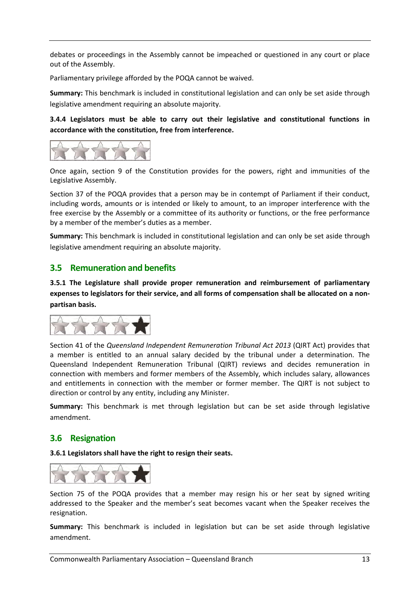debates or proceedings in the Assembly cannot be impeached or questioned in any court or place out of the Assembly.

Parliamentary privilege afforded by the POQA cannot be waived.

**Summary:** This benchmark is included in constitutional legislation and can only be set aside through legislative amendment requiring an absolute majority.

**3.4.4 Legislators must be able to carry out their legislative and constitutional functions in accordance with the constitution, free from interference.** 



Once again, section 9 of the Constitution provides for the powers, right and immunities of the Legislative Assembly.

Section 37 of the POQA provides that a person may be in contempt of Parliament if their conduct, including words, amounts or is intended or likely to amount, to an improper interference with the free exercise by the Assembly or a committee of its authority or functions, or the free performance by a member of the member's duties as a member.

**Summary:** This benchmark is included in constitutional legislation and can only be set aside through legislative amendment requiring an absolute majority.

## **3.5 Remuneration and benefits**

**3.5.1 The Legislature shall provide proper remuneration and reimbursement of parliamentary** expenses to legislators for their service, and all forms of compensation shall be allocated on a non**partisan basis.** 



Section 41 of the *Queensland Independent Remuneration Tribunal Act 2013* (QIRT Act) provides that a member is entitled to an annual salary decided by the tribunal under a determination. The Queensland Independent Remuneration Tribunal (QIRT) reviews and decides remuneration in connection with members and former members of the Assembly, which includes salary, allowances and entitlements in connection with the member or former member. The QIRT is not subject to direction or control by any entity, including any Minister.

**Summary:** This benchmark is met through legislation but can be set aside through legislative amendment.

# **3.6 Resignation**

**3.6.1 Legislators shall have the right to resign their seats.** 



Section 75 of the POQA provides that a member may resign his or her seat by signed writing addressed to the Speaker and the member's seat becomes vacant when the Speaker receives the resignation.

**Summary:** This benchmark is included in legislation but can be set aside through legislative amendment.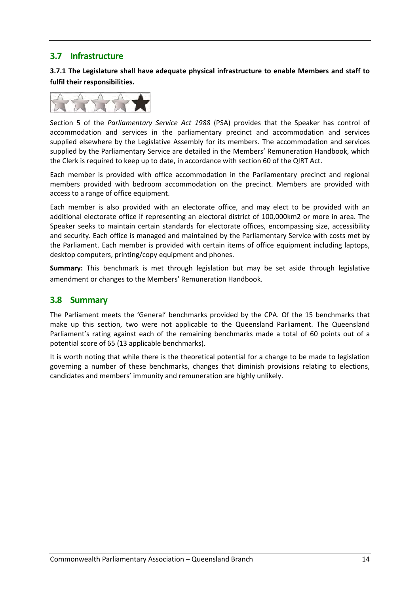# **3.7 Infrastructure**

**3.7.1 The Legislature shall have adequate physical infrastructure to enable Members and staff to fulfil their responsibilities.** 



Section 5 of the *Parliamentary Service Act 1988* (PSA) provides that the Speaker has control of accommodation and services in the parliamentary precinct and accommodation and services supplied elsewhere by the Legislative Assembly for its members. The accommodation and services supplied by the Parliamentary Service are detailed in the Members' Remuneration Handbook, which the Clerk is required to keep up to date, in accordance with section 60 of the QIRT Act.

Each member is provided with office accommodation in the Parliamentary precinct and regional members provided with bedroom accommodation on the precinct. Members are provided with access to a range of office equipment.

Each member is also provided with an electorate office, and may elect to be provided with an additional electorate office if representing an electoral district of 100,000km2 or more in area. The Speaker seeks to maintain certain standards for electorate offices, encompassing size, accessibility and security. Each office is managed and maintained by the Parliamentary Service with costs met by the Parliament. Each member is provided with certain items of office equipment including laptops, desktop computers, printing/copy equipment and phones.

**Summary:** This benchmark is met through legislation but may be set aside through legislative amendment or changes to the Members' Remuneration Handbook.

# **3.8 Summary**

The Parliament meets the 'General' benchmarks provided by the CPA. Of the 15 benchmarks that make up this section, two were not applicable to the Queensland Parliament. The Queensland Parliament's rating against each of the remaining benchmarks made a total of 60 points out of a potential score of 65 (13 applicable benchmarks).

It is worth noting that while there is the theoretical potential for a change to be made to legislation governing a number of these benchmarks, changes that diminish provisions relating to elections, candidates and members' immunity and remuneration are highly unlikely.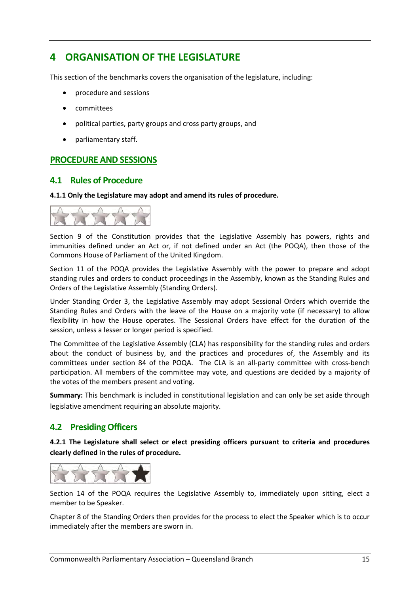# **4 ORGANISATION OF THE LEGISLATURE**

This section of the benchmarks covers the organisation of the legislature, including:

- procedure and sessions
- committees
- political parties, party groups and cross party groups, and
- parliamentary staff.

#### **PROCEDURE AND SESSIONS**

#### **4.1 Rules of Procedure**

#### **4.1.1 Only the Legislature may adopt and amend its rules of procedure.**



Section 9 of the Constitution provides that the Legislative Assembly has powers, rights and immunities defined under an Act or, if not defined under an Act (the POQA), then those of the Commons House of Parliament of the United Kingdom.

Section 11 of the POQA provides the Legislative Assembly with the power to prepare and adopt standing rules and orders to conduct proceedings in the Assembly, known as the Standing Rules and Orders of the Legislative Assembly (Standing Orders).

Under Standing Order 3, the Legislative Assembly may adopt Sessional Orders which override the Standing Rules and Orders with the leave of the House on a majority vote (if necessary) to allow flexibility in how the House operates. The Sessional Orders have effect for the duration of the session, unless a lesser or longer period is specified.

The Committee of the Legislative Assembly (CLA) has responsibility for the standing rules and orders about the conduct of business by, and the practices and procedures of, the Assembly and its committees under section 84 of the POQA. The CLA is an all-party committee with cross-bench participation. All members of the committee may vote, and questions are decided by a majority of the votes of the members present and voting.

**Summary:** This benchmark is included in constitutional legislation and can only be set aside through legislative amendment requiring an absolute majority.

#### **4.2 Presiding Officers**

**4.2.1 The Legislature shall select or elect presiding officers pursuant to criteria and procedures clearly defined in the rules of procedure.** 



Section 14 of the POQA requires the Legislative Assembly to, immediately upon sitting, elect a member to be Speaker.

Chapter 8 of the Standing Orders then provides for the process to elect the Speaker which is to occur immediately after the members are sworn in.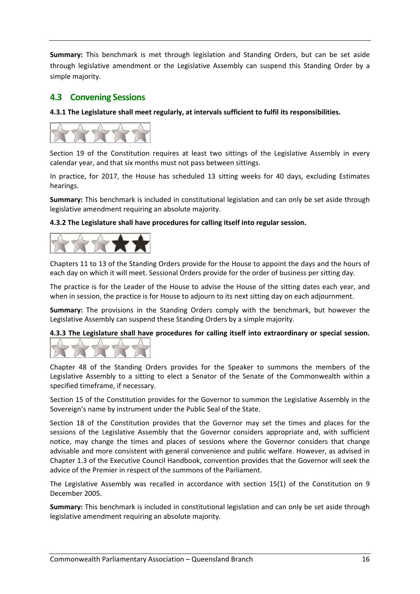**Summary:** This benchmark is met through legislation and Standing Orders, but can be set aside through legislative amendment or the Legislative Assembly can suspend this Standing Order by a simple majority.

## **4.3 Convening Sessions**

**4.3.1 The Legislature shall meet regularly, at intervals sufficient to fulfil its responsibilities.**



Section 19 of the Constitution requires at least two sittings of the Legislative Assembly in every calendar year, and that six months must not pass between sittings.

In practice, for 2017, the House has scheduled 13 sitting weeks for 40 days, excluding Estimates hearings.

**Summary:** This benchmark is included in constitutional legislation and can only be set aside through legislative amendment requiring an absolute majority.

#### **4.3.2 The Legislature shall have procedures for calling itself into regular session.**



Chapters 11 to 13 of the Standing Orders provide for the House to appoint the days and the hours of each day on which it will meet. Sessional Orders provide for the order of business per sitting day.

The practice is for the Leader of the House to advise the House of the sitting dates each year, and when in session, the practice is for House to adjourn to its next sitting day on each adjournment.

**Summary:** The provisions in the Standing Orders comply with the benchmark, but however the Legislative Assembly can suspend these Standing Orders by a simple majority.

**4.3.3 The Legislature shall have procedures for calling itself into extraordinary or special session.**



Chapter 48 of the Standing Orders provides for the Speaker to summons the members of the Legislative Assembly to a sitting to elect a Senator of the Senate of the Commonwealth within a specified timeframe, if necessary.

Section 15 of the Constitution provides for the Governor to summon the Legislative Assembly in the Sovereign's name by instrument under the Public Seal of the State.

Section 18 of the Constitution provides that the Governor may set the times and places for the sessions of the Legislative Assembly that the Governor considers appropriate and, with sufficient notice, may change the times and places of sessions where the Governor considers that change advisable and more consistent with general convenience and public welfare. However, as advised in Chapter 1.3 of the Executive Council Handbook, convention provides that the Governor will seek the advice of the Premier in respect of the summons of the Parliament.

The Legislative Assembly was recalled in accordance with section 15(1) of the Constitution on 9 December 2005.

**Summary:** This benchmark is included in constitutional legislation and can only be set aside through legislative amendment requiring an absolute majority.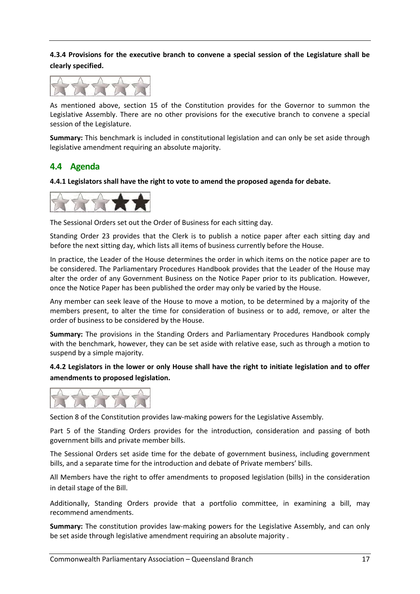#### **4.3.4 Provisions for the executive branch to convene a special session of the Legislature shall be clearly specified.**



As mentioned above, section 15 of the Constitution provides for the Governor to summon the Legislative Assembly. There are no other provisions for the executive branch to convene a special session of the Legislature.

**Summary:** This benchmark is included in constitutional legislation and can only be set aside through legislative amendment requiring an absolute majority.

## **4.4 Agenda**

**4.4.1 Legislators shall have the right to vote to amend the proposed agenda for debate.** 



The Sessional Orders set out the Order of Business for each sitting day.

Standing Order 23 provides that the Clerk is to publish a notice paper after each sitting day and before the next sitting day, which lists all items of business currently before the House.

In practice, the Leader of the House determines the order in which items on the notice paper are to be considered. The Parliamentary Procedures Handbook provides that the Leader of the House may alter the order of any Government Business on the Notice Paper prior to its publication. However, once the Notice Paper has been published the order may only be varied by the House.

Any member can seek leave of the House to move a motion, to be determined by a majority of the members present, to alter the time for consideration of business or to add, remove, or alter the order of business to be considered by the House.

**Summary:** The provisions in the Standing Orders and Parliamentary Procedures Handbook comply with the benchmark, however, they can be set aside with relative ease, such as through a motion to suspend by a simple majority.

4.4.2 Legislators in the lower or only House shall have the right to initiate legislation and to offer **amendments to proposed legislation.** 



Section 8 of the Constitution provides law-making powers for the Legislative Assembly.

Part 5 of the Standing Orders provides for the introduction, consideration and passing of both government bills and private member bills.

The Sessional Orders set aside time for the debate of government business, including government bills, and a separate time for the introduction and debate of Private members' bills.

All Members have the right to offer amendments to proposed legislation (bills) in the consideration in detail stage of the Bill.

Additionally, Standing Orders provide that a portfolio committee, in examining a bill, may recommend amendments.

**Summary:** The constitution provides law-making powers for the Legislative Assembly, and can only be set aside through legislative amendment requiring an absolute majority .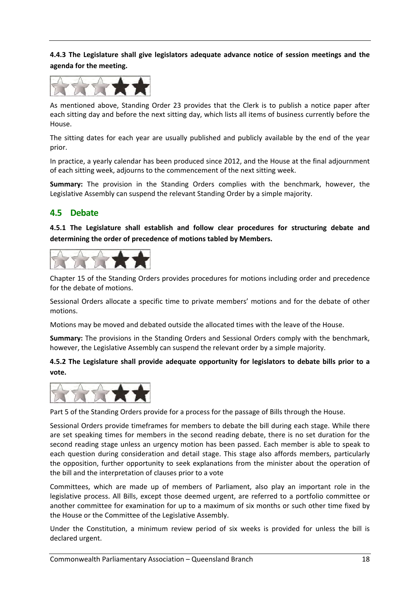**4.4.3 The Legislature shall give legislators adequate advance notice of session meetings and the agenda for the meeting.** 



As mentioned above, Standing Order 23 provides that the Clerk is to publish a notice paper after each sitting day and before the next sitting day, which lists all items of business currently before the House.

The sitting dates for each year are usually published and publicly available by the end of the year prior.

In practice, a yearly calendar has been produced since 2012, and the House at the final adjournment of each sitting week, adjourns to the commencement of the next sitting week.

**Summary:** The provision in the Standing Orders complies with the benchmark, however, the Legislative Assembly can suspend the relevant Standing Order by a simple majority.

# **4.5 Debate**

**4.5.1 The Legislature shall establish and follow clear procedures for structuring debate and determining the order of precedence of motions tabled by Members.** 



Chapter 15 of the Standing Orders provides procedures for motions including order and precedence for the debate of motions.

Sessional Orders allocate a specific time to private members' motions and for the debate of other motions.

Motions may be moved and debated outside the allocated times with the leave of the House.

**Summary:** The provisions in the Standing Orders and Sessional Orders comply with the benchmark, however, the Legislative Assembly can suspend the relevant order by a simple majority.

**4.5.2 The Legislature shall provide adequate opportunity for legislators to debate bills prior to a vote.** 



Part 5 of the Standing Orders provide for a process for the passage of Bills through the House.

Sessional Orders provide timeframes for members to debate the bill during each stage. While there are set speaking times for members in the second reading debate, there is no set duration for the second reading stage unless an urgency motion has been passed. Each member is able to speak to each question during consideration and detail stage. This stage also affords members, particularly the opposition, further opportunity to seek explanations from the minister about the operation of the bill and the interpretation of clauses prior to a vote

Committees, which are made up of members of Parliament, also play an important role in the legislative process. All Bills, except those deemed urgent, are referred to a portfolio committee or another committee for examination for up to a maximum of six months or such other time fixed by the House or the Committee of the Legislative Assembly.

Under the Constitution, a minimum review period of six weeks is provided for unless the bill is declared urgent.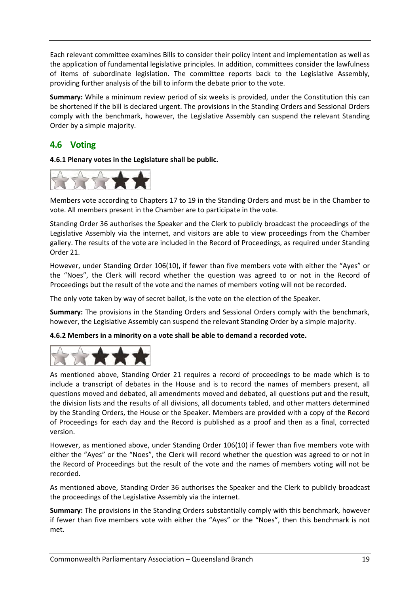Each relevant committee examines Bills to consider their policy intent and implementation as well as the application of fundamental legislative principles. In addition, committees consider the lawfulness of items of subordinate legislation. The committee reports back to the Legislative Assembly, providing further analysis of the bill to inform the debate prior to the vote.

**Summary:** While a minimum review period of six weeks is provided, under the Constitution this can be shortened if the bill is declared urgent. The provisions in the Standing Orders and Sessional Orders comply with the benchmark, however, the Legislative Assembly can suspend the relevant Standing Order by a simple majority.

# **4.6 Voting**

**4.6.1 Plenary votes in the Legislature shall be public.** 



Members vote according to Chapters 17 to 19 in the Standing Orders and must be in the Chamber to vote. All members present in the Chamber are to participate in the vote.

Standing Order 36 authorises the Speaker and the Clerk to publicly broadcast the proceedings of the Legislative Assembly via the internet, and visitors are able to view proceedings from the Chamber gallery. The results of the vote are included in the Record of Proceedings, as required under Standing Order 21.

However, under Standing Order 106(10), if fewer than five members vote with either the "Ayes" or the "Noes", the Clerk will record whether the question was agreed to or not in the Record of Proceedings but the result of the vote and the names of members voting will not be recorded.

The only vote taken by way of secret ballot, is the vote on the election of the Speaker.

**Summary:** The provisions in the Standing Orders and Sessional Orders comply with the benchmark, however, the Legislative Assembly can suspend the relevant Standing Order by a simple majority.

**4.6.2 Members in a minority on a vote shall be able to demand a recorded vote.** 



As mentioned above, Standing Order 21 requires a record of proceedings to be made which is to include a transcript of debates in the House and is to record the names of members present, all questions moved and debated, all amendments moved and debated, all questions put and the result, the division lists and the results of all divisions, all documents tabled, and other matters determined by the Standing Orders, the House or the Speaker. Members are provided with a copy of the Record of Proceedings for each day and the Record is published as a proof and then as a final, corrected version.

However, as mentioned above, under Standing Order 106(10) if fewer than five members vote with either the "Ayes" or the "Noes", the Clerk will record whether the question was agreed to or not in the Record of Proceedings but the result of the vote and the names of members voting will not be recorded.

As mentioned above, Standing Order 36 authorises the Speaker and the Clerk to publicly broadcast the proceedings of the Legislative Assembly via the internet.

**Summary:** The provisions in the Standing Orders substantially comply with this benchmark, however if fewer than five members vote with either the "Ayes" or the "Noes", then this benchmark is not met.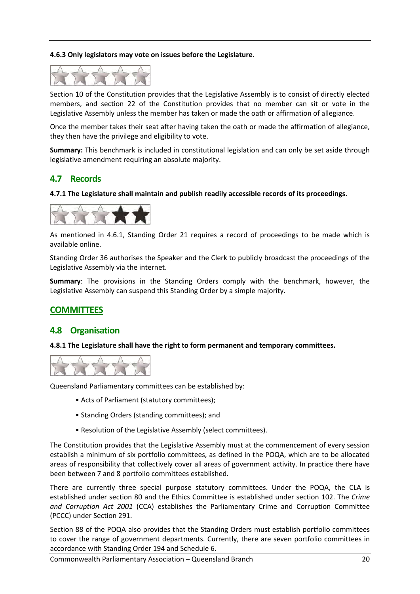#### **4.6.3 Only legislators may vote on issues before the Legislature.**



Section 10 of the Constitution provides that the Legislative Assembly is to consist of directly elected members, and section 22 of the Constitution provides that no member can sit or vote in the Legislative Assembly unless the member has taken or made the oath or affirmation of allegiance.

Once the member takes their seat after having taken the oath or made the affirmation of allegiance, they then have the privilege and eligibility to vote.

**Summary:** This benchmark is included in constitutional legislation and can only be set aside through legislative amendment requiring an absolute majority.

#### **4.7 Records**

**4.7.1 The Legislature shall maintain and publish readily accessible records of its proceedings.**



As mentioned in 4.6.1, Standing Order 21 requires a record of proceedings to be made which is available online.

Standing Order 36 authorises the Speaker and the Clerk to publicly broadcast the proceedings of the Legislative Assembly via the internet.

**Summary**: The provisions in the Standing Orders comply with the benchmark, however, the Legislative Assembly can suspend this Standing Order by a simple majority.

#### **COMMITTEES**

#### **4.8 Organisation**

**4.8.1 The Legislature shall have the right to form permanent and temporary committees.** 



Queensland Parliamentary committees can be established by:

- Acts of Parliament (statutory committees);
- Standing Orders (standing committees); and
- Resolution of the Legislative Assembly (select committees).

The Constitution provides that the Legislative Assembly must at the commencement of every session establish a minimum of six portfolio committees, as defined in the POQA, which are to be allocated areas of responsibility that collectively cover all areas of government activity. In practice there have been between 7 and 8 portfolio committees established.

There are currently three special purpose statutory committees. Under the POQA, the CLA is established under section 80 and the Ethics Committee is established under section 102. The *Crime and Corruption Act 2001* (CCA) establishes the Parliamentary Crime and Corruption Committee (PCCC) under Section 291.

Section 88 of the POQA also provides that the Standing Orders must establish portfolio committees to cover the range of government departments. Currently, there are seven portfolio committees in accordance with Standing Order 194 and Schedule 6.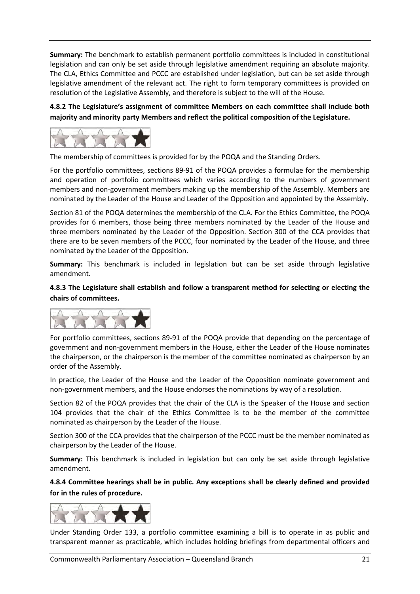**Summary:** The benchmark to establish permanent portfolio committees is included in constitutional legislation and can only be set aside through legislative amendment requiring an absolute majority. The CLA, Ethics Committee and PCCC are established under legislation, but can be set aside through legislative amendment of the relevant act. The right to form temporary committees is provided on resolution of the Legislative Assembly, and therefore is subject to the will of the House.

**4.8.2 The Legislature's assignment of committee Members on each committee shall include both majority and minority party Members and reflect the political composition of the Legislature.** 



The membership of committees is provided for by the POQA and the Standing Orders.

For the portfolio committees, sections 89-91 of the POQA provides a formulae for the membership and operation of portfolio committees which varies according to the numbers of government members and non‐government members making up the membership of the Assembly. Members are nominated by the Leader of the House and Leader of the Opposition and appointed by the Assembly.

Section 81 of the POQA determines the membership of the CLA. For the Ethics Committee, the POQA provides for 6 members, those being three members nominated by the Leader of the House and three members nominated by the Leader of the Opposition. Section 300 of the CCA provides that there are to be seven members of the PCCC, four nominated by the Leader of the House, and three nominated by the Leader of the Opposition.

**Summary:** This benchmark is included in legislation but can be set aside through legislative amendment.

**4.8.3 The Legislature shall establish and follow a transparent method for selecting or electing the chairs of committees.** 



For portfolio committees, sections 89‐91 of the POQA provide that depending on the percentage of government and non‐government members in the House, either the Leader of the House nominates the chairperson, or the chairperson is the member of the committee nominated as chairperson by an order of the Assembly.

In practice, the Leader of the House and the Leader of the Opposition nominate government and non‐government members, and the House endorses the nominations by way of a resolution.

Section 82 of the POQA provides that the chair of the CLA is the Speaker of the House and section 104 provides that the chair of the Ethics Committee is to be the member of the committee nominated as chairperson by the Leader of the House.

Section 300 of the CCA provides that the chairperson of the PCCC must be the member nominated as chairperson by the Leader of the House.

**Summary:** This benchmark is included in legislation but can only be set aside through legislative amendment.

**4.8.4 Committee hearings shall be in public. Any exceptions shall be clearly defined and provided for in the rules of procedure.** 



Under Standing Order 133, a portfolio committee examining a bill is to operate in as public and transparent manner as practicable, which includes holding briefings from departmental officers and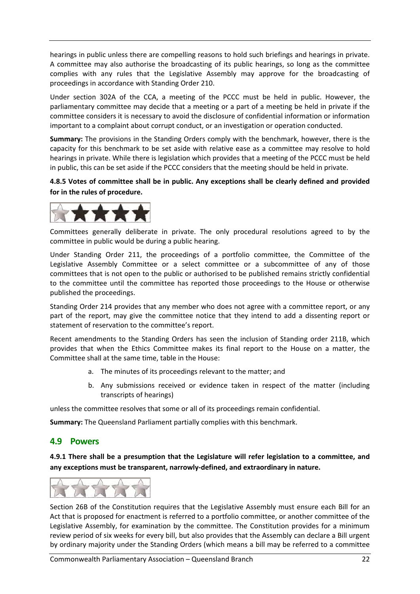hearings in public unless there are compelling reasons to hold such briefings and hearings in private. A committee may also authorise the broadcasting of its public hearings, so long as the committee complies with any rules that the Legislative Assembly may approve for the broadcasting of proceedings in accordance with Standing Order 210.

Under section 302A of the CCA, a meeting of the PCCC must be held in public. However, the parliamentary committee may decide that a meeting or a part of a meeting be held in private if the committee considers it is necessary to avoid the disclosure of confidential information or information important to a complaint about corrupt conduct, or an investigation or operation conducted.

**Summary:** The provisions in the Standing Orders comply with the benchmark, however, there is the capacity for this benchmark to be set aside with relative ease as a committee may resolve to hold hearings in private. While there is legislation which provides that a meeting of the PCCC must be held in public, this can be set aside if the PCCC considers that the meeting should be held in private.

**4.8.5 Votes of committee shall be in public. Any exceptions shall be clearly defined and provided for in the rules of procedure.** 



Committees generally deliberate in private. The only procedural resolutions agreed to by the committee in public would be during a public hearing.

Under Standing Order 211, the proceedings of a portfolio committee, the Committee of the Legislative Assembly Committee or a select committee or a subcommittee of any of those committees that is not open to the public or authorised to be published remains strictly confidential to the committee until the committee has reported those proceedings to the House or otherwise published the proceedings.

Standing Order 214 provides that any member who does not agree with a committee report, or any part of the report, may give the committee notice that they intend to add a dissenting report or statement of reservation to the committee's report.

Recent amendments to the Standing Orders has seen the inclusion of Standing order 211B, which provides that when the Ethics Committee makes its final report to the House on a matter, the Committee shall at the same time, table in the House:

- a. The minutes of its proceedings relevant to the matter; and
- b. Any submissions received or evidence taken in respect of the matter (including transcripts of hearings)

unless the committee resolves that some or all of its proceedings remain confidential.

**Summary:** The Queensland Parliament partially complies with this benchmark.

#### **4.9 Powers**

**4.9.1 There shall be a presumption that the Legislature will refer legislation to a committee, and any exceptions must be transparent, narrowly‐defined, and extraordinary in nature.** 



Section 26B of the Constitution requires that the Legislative Assembly must ensure each Bill for an Act that is proposed for enactment is referred to a portfolio committee, or another committee of the Legislative Assembly, for examination by the committee. The Constitution provides for a minimum review period of six weeks for every bill, but also provides that the Assembly can declare a Bill urgent by ordinary majority under the Standing Orders (which means a bill may be referred to a committee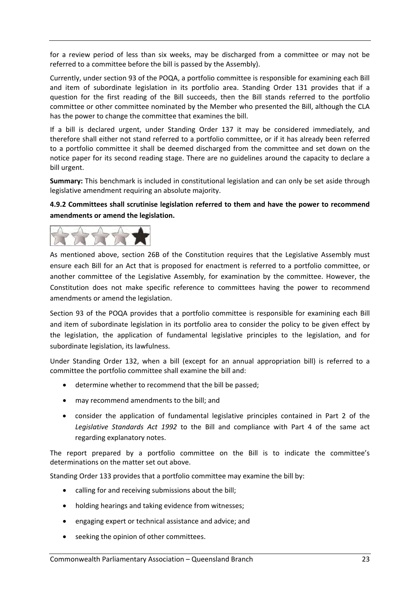for a review period of less than six weeks, may be discharged from a committee or may not be referred to a committee before the bill is passed by the Assembly).

Currently, under section 93 of the POQA, a portfolio committee is responsible for examining each Bill and item of subordinate legislation in its portfolio area. Standing Order 131 provides that if a question for the first reading of the Bill succeeds, then the Bill stands referred to the portfolio committee or other committee nominated by the Member who presented the Bill, although the CLA has the power to change the committee that examines the bill.

If a bill is declared urgent, under Standing Order 137 it may be considered immediately, and therefore shall either not stand referred to a portfolio committee, or if it has already been referred to a portfolio committee it shall be deemed discharged from the committee and set down on the notice paper for its second reading stage. There are no guidelines around the capacity to declare a bill urgent.

**Summary:** This benchmark is included in constitutional legislation and can only be set aside through legislative amendment requiring an absolute majority.

### **4.9.2 Committees shall scrutinise legislation referred to them and have the power to recommend amendments or amend the legislation.**



As mentioned above, section 26B of the Constitution requires that the Legislative Assembly must ensure each Bill for an Act that is proposed for enactment is referred to a portfolio committee, or another committee of the Legislative Assembly, for examination by the committee. However, the Constitution does not make specific reference to committees having the power to recommend amendments or amend the legislation.

Section 93 of the POQA provides that a portfolio committee is responsible for examining each Bill and item of subordinate legislation in its portfolio area to consider the policy to be given effect by the legislation, the application of fundamental legislative principles to the legislation, and for subordinate legislation, its lawfulness.

Under Standing Order 132, when a bill (except for an annual appropriation bill) is referred to a committee the portfolio committee shall examine the bill and:

- determine whether to recommend that the bill be passed;
- may recommend amendments to the bill; and
- consider the application of fundamental legislative principles contained in Part 2 of the *Legislative Standards Act 1992* to the Bill and compliance with Part 4 of the same act regarding explanatory notes.

The report prepared by a portfolio committee on the Bill is to indicate the committee's determinations on the matter set out above.

Standing Order 133 provides that a portfolio committee may examine the bill by:

- calling for and receiving submissions about the bill;
- holding hearings and taking evidence from witnesses;
- engaging expert or technical assistance and advice; and
- seeking the opinion of other committees.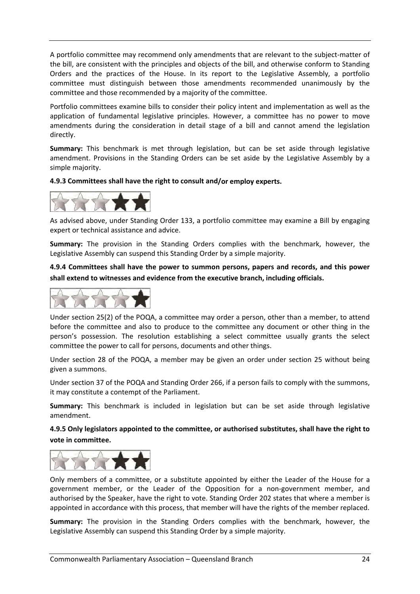A portfolio committee may recommend only amendments that are relevant to the subject-matter of the bill, are consistent with the principles and objects of the bill, and otherwise conform to Standing Orders and the practices of the House. In its report to the Legislative Assembly, a portfolio committee must distinguish between those amendments recommended unanimously by the committee and those recommended by a majority of the committee.

Portfolio committees examine bills to consider their policy intent and implementation as well as the application of fundamental legislative principles. However, a committee has no power to move amendments during the consideration in detail stage of a bill and cannot amend the legislation directly.

**Summary:** This benchmark is met through legislation, but can be set aside through legislative amendment. Provisions in the Standing Orders can be set aside by the Legislative Assembly by a simple majority.

**4.9.3 Committees shall have the right to consult and/or employ experts.** 



As advised above, under Standing Order 133, a portfolio committee may examine a Bill by engaging expert or technical assistance and advice.

**Summary:** The provision in the Standing Orders complies with the benchmark, however, the Legislative Assembly can suspend this Standing Order by a simple majority.

**4.9.4 Committees shall have the power to summon persons, papers and records, and this power shall extend to witnesses and evidence from the executive branch, including officials.** 



Under section 25(2) of the POQA, a committee may order a person, other than a member, to attend before the committee and also to produce to the committee any document or other thing in the person's possession. The resolution establishing a select committee usually grants the select committee the power to call for persons, documents and other things.

Under section 28 of the POQA, a member may be given an order under section 25 without being given a summons.

Under section 37 of the POQA and Standing Order 266, if a person fails to comply with the summons, it may constitute a contempt of the Parliament.

**Summary:** This benchmark is included in legislation but can be set aside through legislative amendment.

**4.9.5 Only legislators appointed to the committee, or authorised substitutes, shall have the right to vote in committee.** 



Only members of a committee, or a substitute appointed by either the Leader of the House for a government member, or the Leader of the Opposition for a non‐government member, and authorised by the Speaker, have the right to vote. Standing Order 202 states that where a member is appointed in accordance with this process, that member will have the rights of the member replaced.

**Summary:** The provision in the Standing Orders complies with the benchmark, however, the Legislative Assembly can suspend this Standing Order by a simple majority.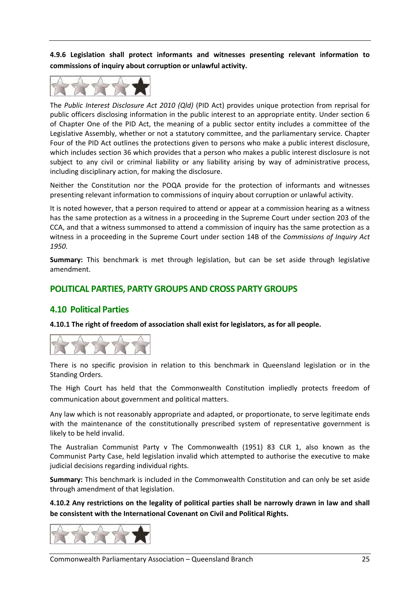**4.9.6 Legislation shall protect informants and witnesses presenting relevant information to commissions of inquiry about corruption or unlawful activity.** 



The *Public Interest Disclosure Act 2010 (Qld)* (PID Act) provides unique protection from reprisal for public officers disclosing information in the public interest to an appropriate entity. Under section 6 of Chapter One of the PID Act, the meaning of a public sector entity includes a committee of the Legislative Assembly, whether or not a statutory committee, and the parliamentary service. Chapter Four of the PID Act outlines the protections given to persons who make a public interest disclosure, which includes section 36 which provides that a person who makes a public interest disclosure is not subject to any civil or criminal liability or any liability arising by way of administrative process, including disciplinary action, for making the disclosure.

Neither the Constitution nor the POQA provide for the protection of informants and witnesses presenting relevant information to commissions of inquiry about corruption or unlawful activity.

It is noted however, that a person required to attend or appear at a commission hearing as a witness has the same protection as a witness in a proceeding in the Supreme Court under section 203 of the CCA, and that a witness summonsed to attend a commission of inquiry has the same protection as a witness in a proceeding in the Supreme Court under section 14B of the *Commissions of Inquiry Act 1950*.

**Summary:** This benchmark is met through legislation, but can be set aside through legislative amendment.

# **POLITICAL PARTIES, PARTY GROUPS AND CROSS PARTY GROUPS**

#### **4.10 Political Parties**

**4.10.1 The right of freedom of association shall exist for legislators, as for all people.** 



There is no specific provision in relation to this benchmark in Queensland legislation or in the Standing Orders.

The High Court has held that the Commonwealth Constitution impliedly protects freedom of communication about government and political matters.

Any law which is not reasonably appropriate and adapted, or proportionate, to serve legitimate ends with the maintenance of the constitutionally prescribed system of representative government is likely to be held invalid.

The Australian Communist Party v The Commonwealth (1951) 83 CLR 1, also known as the Communist Party Case, held legislation invalid which attempted to authorise the executive to make judicial decisions regarding individual rights.

**Summary:** This benchmark is included in the Commonwealth Constitution and can only be set aside through amendment of that legislation.

**4.10.2 Any restrictions on the legality of political parties shall be narrowly drawn in law and shall be consistent with the International Covenant on Civil and Political Rights.** 

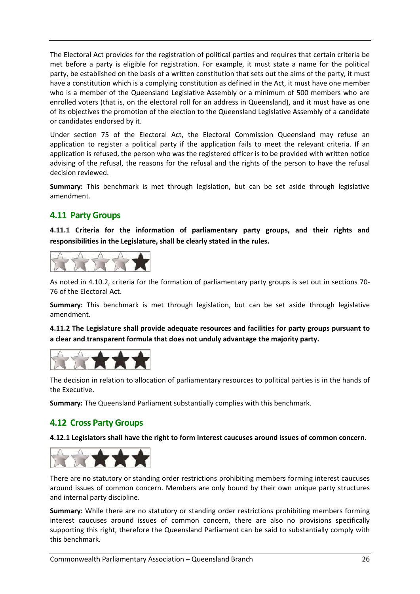The Electoral Act provides for the registration of political parties and requires that certain criteria be met before a party is eligible for registration. For example, it must state a name for the political party, be established on the basis of a written constitution that sets out the aims of the party, it must have a constitution which is a complying constitution as defined in the Act, it must have one member who is a member of the Queensland Legislative Assembly or a minimum of 500 members who are enrolled voters (that is, on the electoral roll for an address in Queensland), and it must have as one of its objectives the promotion of the election to the Queensland Legislative Assembly of a candidate or candidates endorsed by it.

Under section 75 of the Electoral Act, the Electoral Commission Queensland may refuse an application to register a political party if the application fails to meet the relevant criteria. If an application is refused, the person who was the registered officer is to be provided with written notice advising of the refusal, the reasons for the refusal and the rights of the person to have the refusal decision reviewed.

**Summary:** This benchmark is met through legislation, but can be set aside through legislative amendment.

# **4.11 Party Groups**

**4.11.1 Criteria for the information of parliamentary party groups, and their rights and responsibilities in the Legislature, shall be clearly stated in the rules.** 



As noted in 4.10.2, criteria for the formation of parliamentary party groups is set out in sections 70‐ 76 of the Electoral Act.

**Summary:** This benchmark is met through legislation, but can be set aside through legislative amendment.

**4.11.2 The Legislature shall provide adequate resources and facilities for party groups pursuant to a clear and transparent formula that does not unduly advantage the majority party.**



The decision in relation to allocation of parliamentary resources to political parties is in the hands of the Executive.

**Summary:** The Queensland Parliament substantially complies with this benchmark.

# **4.12 Cross Party Groups**

**4.12.1 Legislators shall have the right to form interest caucuses around issues of common concern.** 



There are no statutory or standing order restrictions prohibiting members forming interest caucuses around issues of common concern. Members are only bound by their own unique party structures and internal party discipline.

**Summary:** While there are no statutory or standing order restrictions prohibiting members forming interest caucuses around issues of common concern, there are also no provisions specifically supporting this right, therefore the Queensland Parliament can be said to substantially comply with this benchmark.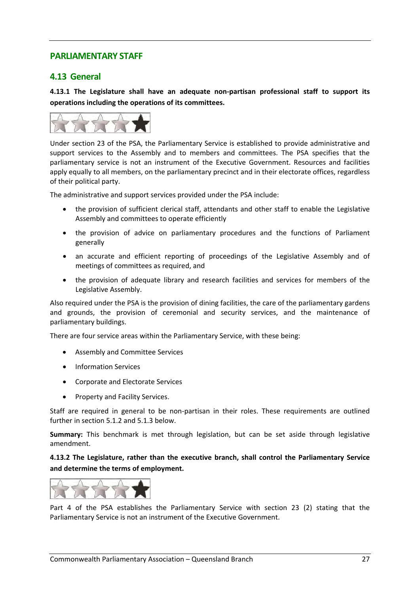## **PARLIAMENTARY STAFF**

## **4.13 General**

**4.13.1 The Legislature shall have an adequate non‐partisan professional staff to support its operations including the operations of its committees.** 



Under section 23 of the PSA, the Parliamentary Service is established to provide administrative and support services to the Assembly and to members and committees. The PSA specifies that the parliamentary service is not an instrument of the Executive Government. Resources and facilities apply equally to all members, on the parliamentary precinct and in their electorate offices, regardless of their political party.

The administrative and support services provided under the PSA include:

- the provision of sufficient clerical staff, attendants and other staff to enable the Legislative Assembly and committees to operate efficiently
- the provision of advice on parliamentary procedures and the functions of Parliament generally
- an accurate and efficient reporting of proceedings of the Legislative Assembly and of meetings of committees as required, and
- the provision of adequate library and research facilities and services for members of the Legislative Assembly.

Also required under the PSA is the provision of dining facilities, the care of the parliamentary gardens and grounds, the provision of ceremonial and security services, and the maintenance of parliamentary buildings.

There are four service areas within the Parliamentary Service, with these being:

- Assembly and Committee Services
- Information Services
- Corporate and Electorate Services
- Property and Facility Services.

Staff are required in general to be non-partisan in their roles. These requirements are outlined further in section 5.1.2 and 5.1.3 below.

**Summary:** This benchmark is met through legislation, but can be set aside through legislative amendment.

**4.13.2 The Legislature, rather than the executive branch, shall control the Parliamentary Service and determine the terms of employment.** 



Part 4 of the PSA establishes the Parliamentary Service with section 23 (2) stating that the Parliamentary Service is not an instrument of the Executive Government.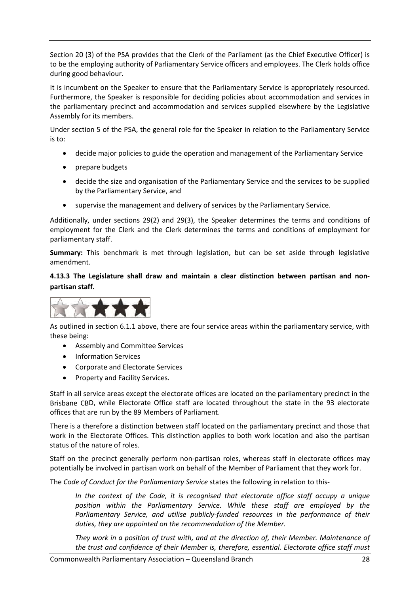Section 20 (3) of the PSA provides that the Clerk of the Parliament (as the Chief Executive Officer) is to be the employing authority of Parliamentary Service officers and employees. The Clerk holds office during good behaviour.

It is incumbent on the Speaker to ensure that the Parliamentary Service is appropriately resourced. Furthermore, the Speaker is responsible for deciding policies about accommodation and services in the parliamentary precinct and accommodation and services supplied elsewhere by the Legislative Assembly for its members.

Under section 5 of the PSA, the general role for the Speaker in relation to the Parliamentary Service is to:

- decide major policies to guide the operation and management of the Parliamentary Service
- prepare budgets
- decide the size and organisation of the Parliamentary Service and the services to be supplied by the Parliamentary Service, and
- supervise the management and delivery of services by the Parliamentary Service.

Additionally, under sections 29(2) and 29(3), the Speaker determines the terms and conditions of employment for the Clerk and the Clerk determines the terms and conditions of employment for parliamentary staff.

**Summary:** This benchmark is met through legislation, but can be set aside through legislative amendment.

**4.13.3 The Legislature shall draw and maintain a clear distinction between partisan and non‐ partisan staff.** 



As outlined in section 6.1.1 above, there are four service areas within the parliamentary service, with these being:

- Assembly and Committee Services
- Information Services
- Corporate and Electorate Services
- Property and Facility Services.

Staff in all service areas except the electorate offices are located on the parliamentary precinct in the Brisbane CBD, while Electorate Office staff are located throughout the state in the 93 electorate offices that are run by the 89 Members of Parliament.

There is a therefore a distinction between staff located on the parliamentary precinct and those that work in the Electorate Offices. This distinction applies to both work location and also the partisan status of the nature of roles.

Staff on the precinct generally perform non-partisan roles, whereas staff in electorate offices may potentially be involved in partisan work on behalf of the Member of Parliament that they work for.

The *Code of Conduct for the Parliamentary Service* states the following in relation to this‐

*In the context of the Code, it is recognised that electorate office staff occupy a unique position within the Parliamentary Service. While these staff are employed by the Parliamentary Service, and utilise publicly‐funded resources in the performance of their duties, they are appointed on the recommendation of the Member.* 

*They work in a position of trust with, and at the direction of, their Member. Maintenance of the trust and confidence of their Member is, therefore, essential. Electorate office staff must*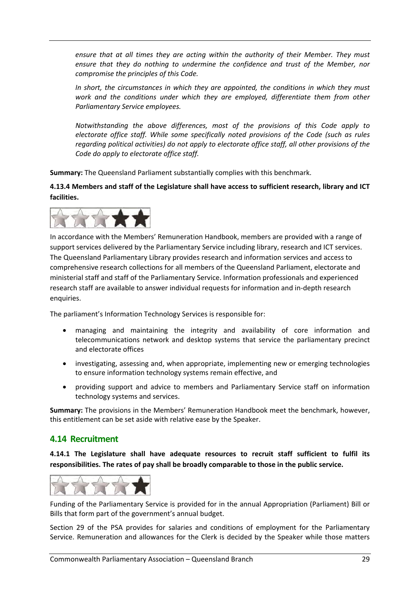*ensure that at all times they are acting within the authority of their Member. They must ensure that they do nothing to undermine the confidence and trust of the Member, nor compromise the principles of this Code.*

*In short, the circumstances in which they are appointed, the conditions in which they must work and the conditions under which they are employed, differentiate them from other Parliamentary Service employees.*

*Notwithstanding the above differences, most of the provisions of this Code apply to electorate office staff. While some specifically noted provisions of the Code (such as rules regarding political activities) do not apply to electorate office staff, all other provisions of the Code do apply to electorate office staff.*

**Summary:** The Queensland Parliament substantially complies with this benchmark.

**4.13.4 Members and staff of the Legislature shall have access to sufficient research, library and ICT facilities.** 



In accordance with the Members' Remuneration Handbook, members are provided with a range of support services delivered by the Parliamentary Service including library, research and ICT services. The Queensland Parliamentary Library provides research and information services and access to comprehensive research collections for all members of the Queensland Parliament, electorate and ministerial staff and staff of the Parliamentary Service. Information professionals and experienced research staff are available to answer individual requests for information and in‐depth research enquiries.

The parliament's Information Technology Services is responsible for:

- managing and maintaining the integrity and availability of core information and telecommunications network and desktop systems that service the parliamentary precinct and electorate offices
- investigating, assessing and, when appropriate, implementing new or emerging technologies to ensure information technology systems remain effective, and
- providing support and advice to members and Parliamentary Service staff on information technology systems and services.

**Summary:** The provisions in the Members' Remuneration Handbook meet the benchmark, however, this entitlement can be set aside with relative ease by the Speaker.

# **4.14 Recruitment**

**4.14.1 The Legislature shall have adequate resources to recruit staff sufficient to fulfil its responsibilities. The rates of pay shall be broadly comparable to those in the public service.** 



Funding of the Parliamentary Service is provided for in the annual Appropriation (Parliament) Bill or Bills that form part of the government's annual budget.

Section 29 of the PSA provides for salaries and conditions of employment for the Parliamentary Service. Remuneration and allowances for the Clerk is decided by the Speaker while those matters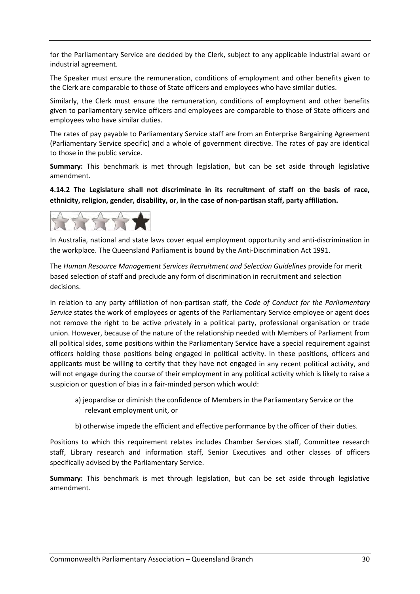for the Parliamentary Service are decided by the Clerk, subject to any applicable industrial award or industrial agreement.

The Speaker must ensure the remuneration, conditions of employment and other benefits given to the Clerk are comparable to those of State officers and employees who have similar duties.

Similarly, the Clerk must ensure the remuneration, conditions of employment and other benefits given to parliamentary service officers and employees are comparable to those of State officers and employees who have similar duties.

The rates of pay payable to Parliamentary Service staff are from an Enterprise Bargaining Agreement (Parliamentary Service specific) and a whole of government directive. The rates of pay are identical to those in the public service.

**Summary:** This benchmark is met through legislation, but can be set aside through legislative amendment.

**4.14.2 The Legislature shall not discriminate in its recruitment of staff on the basis of race, ethnicity, religion, gender, disability, or, in the case of non‐partisan staff, party affiliation.** 



In Australia, national and state laws cover equal employment opportunity and anti‐discrimination in the workplace. The Queensland Parliament is bound by the Anti‐Discrimination Act 1991.

The *Human Resource Management Services Recruitment and Selection Guidelines* provide for merit based selection of staff and preclude any form of discrimination in recruitment and selection decisions.

In relation to any party affiliation of non‐partisan staff, the *Code of Conduct for the Parliamentary Service* states the work of employees or agents of the Parliamentary Service employee or agent does not remove the right to be active privately in a political party, professional organisation or trade union. However, because of the nature of the relationship needed with Members of Parliament from all political sides, some positions within the Parliamentary Service have a special requirement against officers holding those positions being engaged in political activity. In these positions, officers and applicants must be willing to certify that they have not engaged in any recent political activity, and will not engage during the course of their employment in any political activity which is likely to raise a suspicion or question of bias in a fair‐minded person which would:

- a) jeopardise or diminish the confidence of Members in the Parliamentary Service or the relevant employment unit, or
- b) otherwise impede the efficient and effective performance by the officer of their duties.

Positions to which this requirement relates includes Chamber Services staff, Committee research staff, Library research and information staff, Senior Executives and other classes of officers specifically advised by the Parliamentary Service.

**Summary:** This benchmark is met through legislation, but can be set aside through legislative amendment.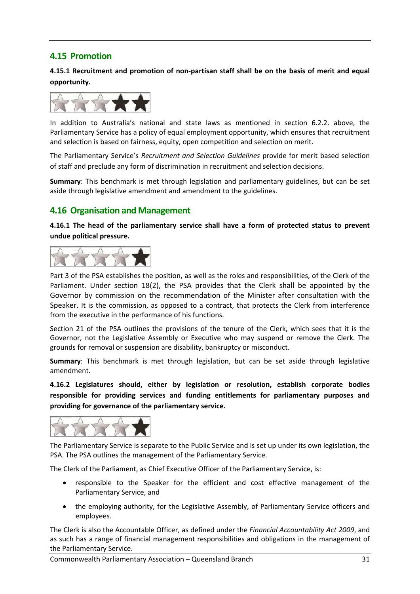# **4.15 Promotion**

**4.15.1 Recruitment and promotion of non‐partisan staff shall be on the basis of merit and equal opportunity.** 



In addition to Australia's national and state laws as mentioned in section 6.2.2. above, the Parliamentary Service has a policy of equal employment opportunity, which ensures that recruitment and selection is based on fairness, equity, open competition and selection on merit.

The Parliamentary Service's *Recruitment and Selection Guidelines* provide for merit based selection of staff and preclude any form of discrimination in recruitment and selection decisions.

**Summary**: This benchmark is met through legislation and parliamentary guidelines, but can be set aside through legislative amendment and amendment to the guidelines.

## **4.16 Organisation and Management**

**4.16.1 The head of the parliamentary service shall have a form of protected status to prevent undue political pressure.** 



Part 3 of the PSA establishes the position, as well as the roles and responsibilities, of the Clerk of the Parliament. Under section 18(2), the PSA provides that the Clerk shall be appointed by the Governor by commission on the recommendation of the Minister after consultation with the Speaker. It is the commission, as opposed to a contract, that protects the Clerk from interference from the executive in the performance of his functions.

Section 21 of the PSA outlines the provisions of the tenure of the Clerk, which sees that it is the Governor, not the Legislative Assembly or Executive who may suspend or remove the Clerk. The grounds for removal or suspension are disability, bankruptcy or misconduct.

**Summary**: This benchmark is met through legislation, but can be set aside through legislative amendment.

**4.16.2 Legislatures should, either by legislation or resolution, establish corporate bodies responsible for providing services and funding entitlements for parliamentary purposes and providing for governance of the parliamentary service.** 



The Parliamentary Service is separate to the Public Service and is set up under its own legislation, the PSA. The PSA outlines the management of the Parliamentary Service.

The Clerk of the Parliament, as Chief Executive Officer of the Parliamentary Service, is:

- responsible to the Speaker for the efficient and cost effective management of the Parliamentary Service, and
- the employing authority, for the Legislative Assembly, of Parliamentary Service officers and employees.

The Clerk is also the Accountable Officer, as defined under the *Financial Accountability Act 2009*, and as such has a range of financial management responsibilities and obligations in the management of the Parliamentary Service.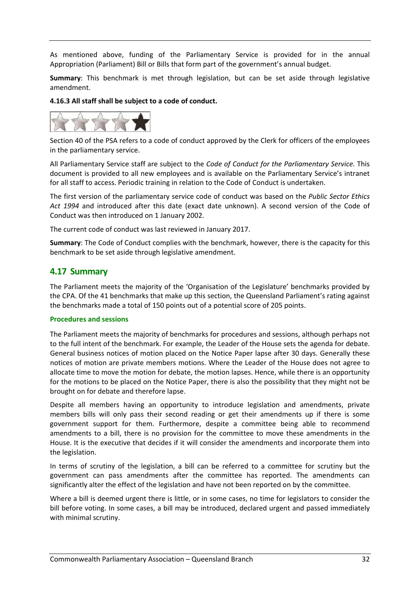As mentioned above, funding of the Parliamentary Service is provided for in the annual Appropriation (Parliament) Bill or Bills that form part of the government's annual budget.

**Summary**: This benchmark is met through legislation, but can be set aside through legislative amendment.

#### **4.16.3 All staff shall be subject to a code of conduct.**



Section 40 of the PSA refers to a code of conduct approved by the Clerk for officers of the employees in the parliamentary service.

All Parliamentary Service staff are subject to the *Code of Conduct for the Parliamentary Service.* This document is provided to all new employees and is available on the Parliamentary Service's intranet for all staff to access. Periodic training in relation to the Code of Conduct is undertaken.

The first version of the parliamentary service code of conduct was based on the *Public Sector Ethics Act 1994* and introduced after this date (exact date unknown). A second version of the Code of Conduct was then introduced on 1 January 2002.

The current code of conduct was last reviewed in January 2017.

**Summary**: The Code of Conduct complies with the benchmark, however, there is the capacity for this benchmark to be set aside through legislative amendment.

## **4.17 Summary**

The Parliament meets the majority of the 'Organisation of the Legislature' benchmarks provided by the CPA. Of the 41 benchmarks that make up this section, the Queensland Parliament's rating against the benchmarks made a total of 150 points out of a potential score of 205 points.

#### **Procedures and sessions**

The Parliament meets the majority of benchmarks for procedures and sessions, although perhaps not to the full intent of the benchmark. For example, the Leader of the House sets the agenda for debate. General business notices of motion placed on the Notice Paper lapse after 30 days. Generally these notices of motion are private members motions. Where the Leader of the House does not agree to allocate time to move the motion for debate, the motion lapses. Hence, while there is an opportunity for the motions to be placed on the Notice Paper, there is also the possibility that they might not be brought on for debate and therefore lapse.

Despite all members having an opportunity to introduce legislation and amendments, private members bills will only pass their second reading or get their amendments up if there is some government support for them. Furthermore, despite a committee being able to recommend amendments to a bill, there is no provision for the committee to move these amendments in the House. It is the executive that decides if it will consider the amendments and incorporate them into the legislation.

In terms of scrutiny of the legislation, a bill can be referred to a committee for scrutiny but the government can pass amendments after the committee has reported. The amendments can significantly alter the effect of the legislation and have not been reported on by the committee.

Where a bill is deemed urgent there is little, or in some cases, no time for legislators to consider the bill before voting. In some cases, a bill may be introduced, declared urgent and passed immediately with minimal scrutiny.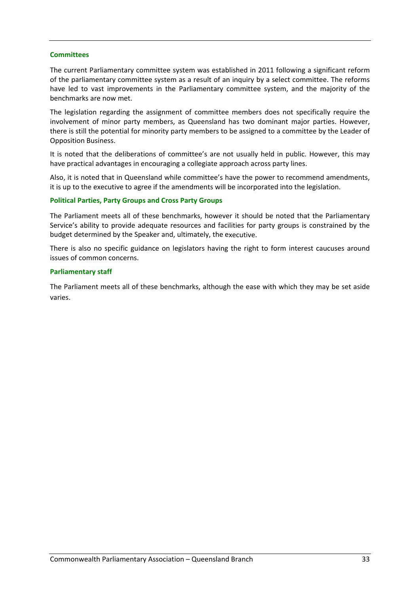#### **Committees**

The current Parliamentary committee system was established in 2011 following a significant reform of the parliamentary committee system as a result of an inquiry by a select committee. The reforms have led to vast improvements in the Parliamentary committee system, and the majority of the benchmarks are now met.

The legislation regarding the assignment of committee members does not specifically require the involvement of minor party members, as Queensland has two dominant major parties. However, there is still the potential for minority party members to be assigned to a committee by the Leader of Opposition Business.

It is noted that the deliberations of committee's are not usually held in public. However, this may have practical advantages in encouraging a collegiate approach across party lines.

Also, it is noted that in Queensland while committee's have the power to recommend amendments, it is up to the executive to agree if the amendments will be incorporated into the legislation.

#### **Political Parties, Party Groups and Cross Party Groups**

The Parliament meets all of these benchmarks, however it should be noted that the Parliamentary Service's ability to provide adequate resources and facilities for party groups is constrained by the budget determined by the Speaker and, ultimately, the executive.

There is also no specific guidance on legislators having the right to form interest caucuses around issues of common concerns.

#### **Parliamentary staff**

The Parliament meets all of these benchmarks, although the ease with which they may be set aside varies.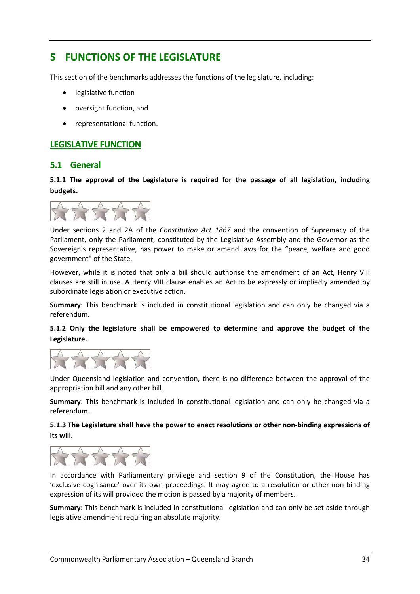# **5 FUNCTIONS OF THE LEGISLATURE**

This section of the benchmarks addresses the functions of the legislature, including:

- legislative function
- oversight function, and
- representational function.

### **LEGISLATIVE FUNCTION**

#### **5.1 General**

**5.1.1 The approval of the Legislature is required for the passage of all legislation, including budgets.** 



Under sections 2 and 2A of the *Constitution Act 1867* and the convention of Supremacy of the Parliament, only the Parliament, constituted by the Legislative Assembly and the Governor as the Sovereign's representative, has power to make or amend laws for the "peace, welfare and good government" of the State.

However, while it is noted that only a bill should authorise the amendment of an Act, Henry VIII clauses are still in use. A Henry VIII clause enables an Act to be expressly or impliedly amended by subordinate legislation or executive action.

**Summary**: This benchmark is included in constitutional legislation and can only be changed via a referendum.

#### **5.1.2 Only the legislature shall be empowered to determine and approve the budget of the Legislature.**



Under Queensland legislation and convention, there is no difference between the approval of the appropriation bill and any other bill.

**Summary**: This benchmark is included in constitutional legislation and can only be changed via a referendum.

#### **5.1.3 The Legislature shall have the power to enact resolutions or other non‐binding expressions of its will.**



In accordance with Parliamentary privilege and section 9 of the Constitution, the House has 'exclusive cognisance' over its own proceedings. It may agree to a resolution or other non‐binding expression of its will provided the motion is passed by a majority of members.

**Summary**: This benchmark is included in constitutional legislation and can only be set aside through legislative amendment requiring an absolute majority.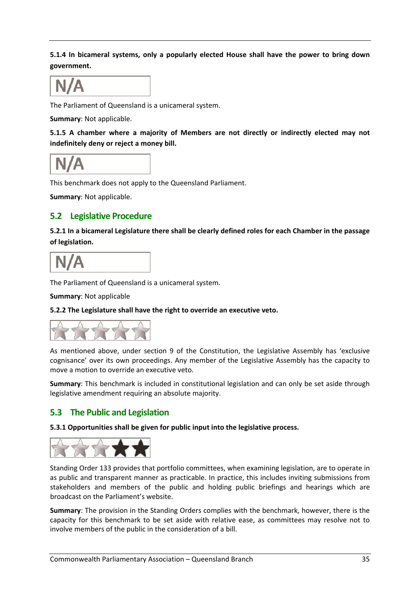**5.1.4 In bicameral systems, only a popularly elected House shall have the power to bring down government.** 



The Parliament of Queensland is a unicameral system.

**Summary**: Not applicable.

**5.1.5 A chamber where a majority of Members are not directly or indirectly elected may not indefinitely deny or reject a money bill.** 

This benchmark does not apply to the Queensland Parliament.

**Summary**: Not applicable.

## **5.2 Legislative Procedure**

**5.2.1 In a bicameral Legislature there shall be clearly defined roles for each Chamber in the passage of legislation.** 



The Parliament of Queensland is a unicameral system.

**Summary**: Not applicable

**5.2.2 The Legislature shall have the right to override an executive veto.** 



As mentioned above, under section 9 of the Constitution, the Legislative Assembly has 'exclusive cognisance' over its own proceedings. Any member of the Legislative Assembly has the capacity to move a motion to override an executive veto.

**Summary**: This benchmark is included in constitutional legislation and can only be set aside through legislative amendment requiring an absolute majority.

# **5.3 The Public and Legislation**

**5.3.1 Opportunities shall be given for public input into the legislative process.** 



Standing Order 133 provides that portfolio committees, when examining legislation, are to operate in as public and transparent manner as practicable. In practice, this includes inviting submissions from stakeholders and members of the public and holding public briefings and hearings which are broadcast on the Parliament's website.

**Summary**: The provision in the Standing Orders complies with the benchmark, however, there is the capacity for this benchmark to be set aside with relative ease, as committees may resolve not to involve members of the public in the consideration of a bill.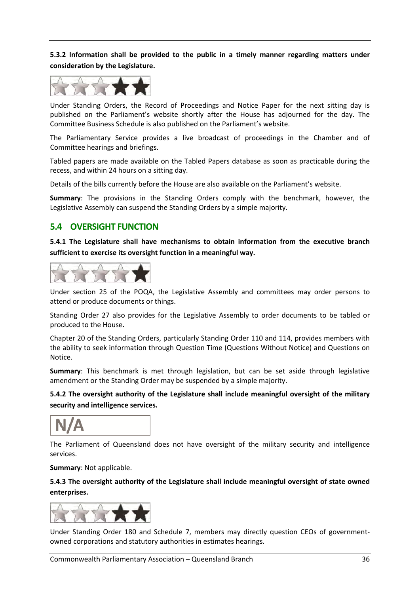**5.3.2 Information shall be provided to the public in a timely manner regarding matters under consideration by the Legislature.** 



Under Standing Orders, the Record of Proceedings and Notice Paper for the next sitting day is published on the Parliament's website shortly after the House has adjourned for the day. The Committee Business Schedule is also published on the Parliament's website.

The Parliamentary Service provides a live broadcast of proceedings in the Chamber and of Committee hearings and briefings.

Tabled papers are made available on the Tabled Papers database as soon as practicable during the recess, and within 24 hours on a sitting day.

Details of the bills currently before the House are also available on the Parliament's website.

**Summary**: The provisions in the Standing Orders comply with the benchmark, however, the Legislative Assembly can suspend the Standing Orders by a simple majority.

#### **5.4 OVERSIGHT FUNCTION**

**5.4.1 The Legislature shall have mechanisms to obtain information from the executive branch sufficient to exercise its oversight function in a meaningful way.** 



Under section 25 of the POQA, the Legislative Assembly and committees may order persons to attend or produce documents or things.

Standing Order 27 also provides for the Legislative Assembly to order documents to be tabled or produced to the House.

Chapter 20 of the Standing Orders, particularly Standing Order 110 and 114, provides members with the ability to seek information through Question Time (Questions Without Notice) and Questions on Notice.

**Summary**: This benchmark is met through legislation, but can be set aside through legislative amendment or the Standing Order may be suspended by a simple majority.

**5.4.2 The oversight authority of the Legislature shall include meaningful oversight of the military security and intelligence services.** 

The Parliament of Queensland does not have oversight of the military security and intelligence services.

**Summary**: Not applicable.

**5.4.3 The oversight authority of the Legislature shall include meaningful oversight of state owned enterprises.** 



Under Standing Order 180 and Schedule 7, members may directly question CEOs of government‐ owned corporations and statutory authorities in estimates hearings.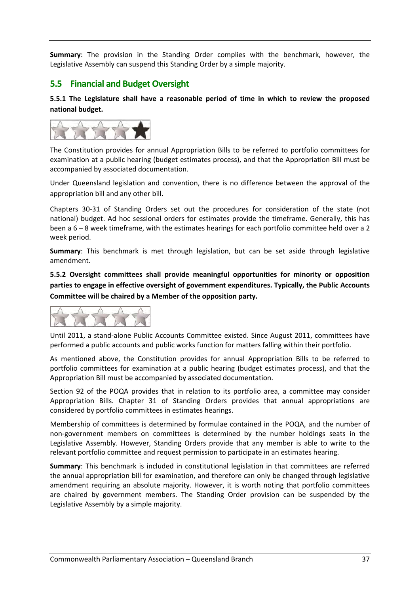**Summary**: The provision in the Standing Order complies with the benchmark, however, the Legislative Assembly can suspend this Standing Order by a simple majority.

## **5.5 Financial and Budget Oversight**

**5.5.1 The Legislature shall have a reasonable period of time in which to review the proposed national budget.** 

![](_page_37_Picture_3.jpeg)

The Constitution provides for annual Appropriation Bills to be referred to portfolio committees for examination at a public hearing (budget estimates process), and that the Appropriation Bill must be accompanied by associated documentation.

Under Queensland legislation and convention, there is no difference between the approval of the appropriation bill and any other bill.

Chapters 30‐31 of Standing Orders set out the procedures for consideration of the state (not national) budget. Ad hoc sessional orders for estimates provide the timeframe. Generally, this has been a 6 – 8 week timeframe, with the estimates hearings for each portfolio committee held over a 2 week period.

**Summary**: This benchmark is met through legislation, but can be set aside through legislative amendment.

**5.5.2 Oversight committees shall provide meaningful opportunities for minority or opposition parties to engage in effective oversight of government expenditures. Typically, the Public Accounts Committee will be chaired by a Member of the opposition party.** 

![](_page_37_Picture_9.jpeg)

Until 2011, a stand‐alone Public Accounts Committee existed. Since August 2011, committees have performed a public accounts and public works function for matters falling within their portfolio.

As mentioned above, the Constitution provides for annual Appropriation Bills to be referred to portfolio committees for examination at a public hearing (budget estimates process), and that the Appropriation Bill must be accompanied by associated documentation.

Section 92 of the POQA provides that in relation to its portfolio area, a committee may consider Appropriation Bills. Chapter 31 of Standing Orders provides that annual appropriations are considered by portfolio committees in estimates hearings.

Membership of committees is determined by formulae contained in the POQA, and the number of non‐government members on committees is determined by the number holdings seats in the Legislative Assembly. However, Standing Orders provide that any member is able to write to the relevant portfolio committee and request permission to participate in an estimates hearing.

**Summary**: This benchmark is included in constitutional legislation in that committees are referred the annual appropriation bill for examination, and therefore can only be changed through legislative amendment requiring an absolute majority. However, it is worth noting that portfolio committees are chaired by government members. The Standing Order provision can be suspended by the Legislative Assembly by a simple majority.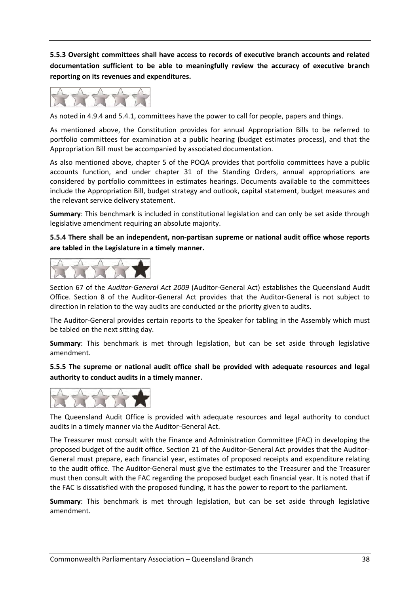**5.5.3 Oversight committees shall have access to records of executive branch accounts and related documentation sufficient to be able to meaningfully review the accuracy of executive branch reporting on its revenues and expenditures.** 

![](_page_38_Figure_1.jpeg)

As noted in 4.9.4 and 5.4.1, committees have the power to call for people, papers and things.

As mentioned above, the Constitution provides for annual Appropriation Bills to be referred to portfolio committees for examination at a public hearing (budget estimates process), and that the Appropriation Bill must be accompanied by associated documentation.

As also mentioned above, chapter 5 of the POQA provides that portfolio committees have a public accounts function, and under chapter 31 of the Standing Orders, annual appropriations are considered by portfolio committees in estimates hearings. Documents available to the committees include the Appropriation Bill, budget strategy and outlook, capital statement, budget measures and the relevant service delivery statement.

**Summary**: This benchmark is included in constitutional legislation and can only be set aside through legislative amendment requiring an absolute majority.

**5.5.4 There shall be an independent, non‐partisan supreme or national audit office whose reports are tabled in the Legislature in a timely manner.** 

![](_page_38_Figure_7.jpeg)

Section 67 of the *Auditor‐General Act 2009* (Auditor‐General Act) establishes the Queensland Audit Office. Section 8 of the Auditor‐General Act provides that the Auditor‐General is not subject to direction in relation to the way audits are conducted or the priority given to audits.

The Auditor‐General provides certain reports to the Speaker for tabling in the Assembly which must be tabled on the next sitting day.

**Summary**: This benchmark is met through legislation, but can be set aside through legislative amendment.

**5.5.5 The supreme or national audit office shall be provided with adequate resources and legal authority to conduct audits in a timely manner.** 

![](_page_38_Figure_12.jpeg)

The Queensland Audit Office is provided with adequate resources and legal authority to conduct audits in a timely manner via the Auditor‐General Act.

The Treasurer must consult with the Finance and Administration Committee (FAC) in developing the proposed budget of the audit office. Section 21 of the Auditor‐General Act provides that the Auditor‐ General must prepare, each financial year, estimates of proposed receipts and expenditure relating to the audit office. The Auditor‐General must give the estimates to the Treasurer and the Treasurer must then consult with the FAC regarding the proposed budget each financial year. It is noted that if the FAC is dissatisfied with the proposed funding, it has the power to report to the parliament.

**Summary**: This benchmark is met through legislation, but can be set aside through legislative amendment.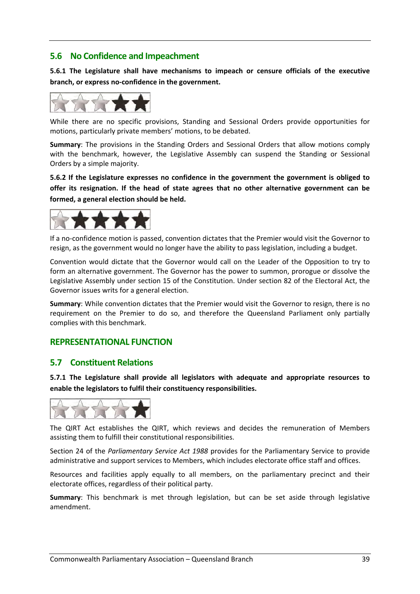#### **5.6 No Confidence and Impeachment**

**5.6.1 The Legislature shall have mechanisms to impeach or censure officials of the executive branch, or express no‐confidence in the government.** 

![](_page_39_Picture_2.jpeg)

While there are no specific provisions, Standing and Sessional Orders provide opportunities for motions, particularly private members' motions, to be debated.

**Summary**: The provisions in the Standing Orders and Sessional Orders that allow motions comply with the benchmark, however, the Legislative Assembly can suspend the Standing or Sessional Orders by a simple majority.

**5.6.2 If the Legislature expresses no confidence in the government the government is obliged to offer its resignation. If the head of state agrees that no other alternative government can be formed, a general election should be held.** 

![](_page_39_Picture_6.jpeg)

If a no‐confidence motion is passed, convention dictates that the Premier would visit the Governor to resign, as the government would no longer have the ability to pass legislation, including a budget.

Convention would dictate that the Governor would call on the Leader of the Opposition to try to form an alternative government. The Governor has the power to summon, prorogue or dissolve the Legislative Assembly under section 15 of the Constitution. Under section 82 of the Electoral Act, the Governor issues writs for a general election.

**Summary**: While convention dictates that the Premier would visit the Governor to resign, there is no requirement on the Premier to do so, and therefore the Queensland Parliament only partially complies with this benchmark.

# **REPRESENTATIONAL FUNCTION**

#### **5.7 Constituent Relations**

**5.7.1 The Legislature shall provide all legislators with adequate and appropriate resources to enable the legislators to fulfil their constituency responsibilities.** 

![](_page_39_Figure_13.jpeg)

The QIRT Act establishes the QIRT, which reviews and decides the remuneration of Members assisting them to fulfill their constitutional responsibilities.

Section 24 of the *Parliamentary Service Act 1988* provides for the Parliamentary Service to provide administrative and support services to Members, which includes electorate office staff and offices.

Resources and facilities apply equally to all members, on the parliamentary precinct and their electorate offices, regardless of their political party.

**Summary**: This benchmark is met through legislation, but can be set aside through legislative amendment.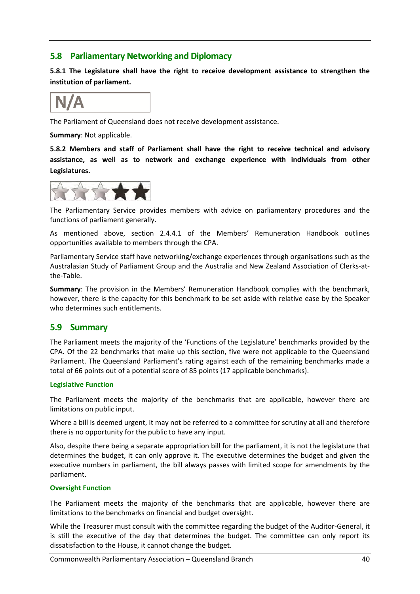## **5.8 Parliamentary Networking and Diplomacy**

**5.8.1 The Legislature shall have the right to receive development assistance to strengthen the institution of parliament.** 

The Parliament of Queensland does not receive development assistance.

**Summary**: Not applicable.

**5.8.2 Members and staff of Parliament shall have the right to receive technical and advisory assistance, as well as to network and exchange experience with individuals from other Legislatures.** 

![](_page_40_Figure_6.jpeg)

The Parliamentary Service provides members with advice on parliamentary procedures and the functions of parliament generally.

As mentioned above, section 2.4.4.1 of the Members' Remuneration Handbook outlines opportunities available to members through the CPA.

Parliamentary Service staff have networking/exchange experiences through organisations such as the Australasian Study of Parliament Group and the Australia and New Zealand Association of Clerks‐at‐ the‐Table.

**Summary**: The provision in the Members' Remuneration Handbook complies with the benchmark, however, there is the capacity for this benchmark to be set aside with relative ease by the Speaker who determines such entitlements.

# **5.9 Summary**

The Parliament meets the majority of the 'Functions of the Legislature' benchmarks provided by the CPA. Of the 22 benchmarks that make up this section, five were not applicable to the Queensland Parliament. The Queensland Parliament's rating against each of the remaining benchmarks made a total of 66 points out of a potential score of 85 points (17 applicable benchmarks).

#### **Legislative Function**

The Parliament meets the majority of the benchmarks that are applicable, however there are limitations on public input.

Where a bill is deemed urgent, it may not be referred to a committee for scrutiny at all and therefore there is no opportunity for the public to have any input.

Also, despite there being a separate appropriation bill for the parliament, it is not the legislature that determines the budget, it can only approve it. The executive determines the budget and given the executive numbers in parliament, the bill always passes with limited scope for amendments by the parliament.

#### **Oversight Function**

The Parliament meets the majority of the benchmarks that are applicable, however there are limitations to the benchmarks on financial and budget oversight.

While the Treasurer must consult with the committee regarding the budget of the Auditor‐General, it is still the executive of the day that determines the budget. The committee can only report its dissatisfaction to the House, it cannot change the budget.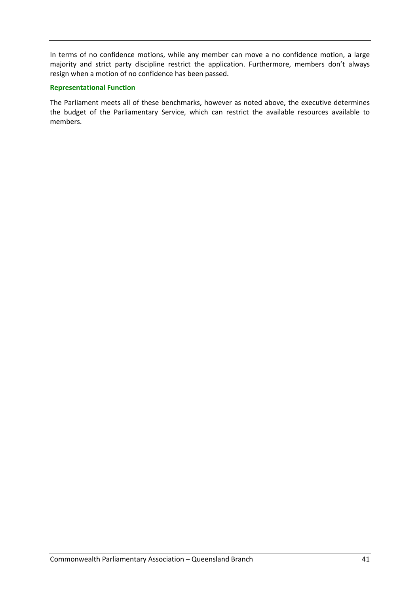In terms of no confidence motions, while any member can move a no confidence motion, a large majority and strict party discipline restrict the application. Furthermore, members don't always resign when a motion of no confidence has been passed.

#### **Representational Function**

The Parliament meets all of these benchmarks, however as noted above, the executive determines the budget of the Parliamentary Service, which can restrict the available resources available to members.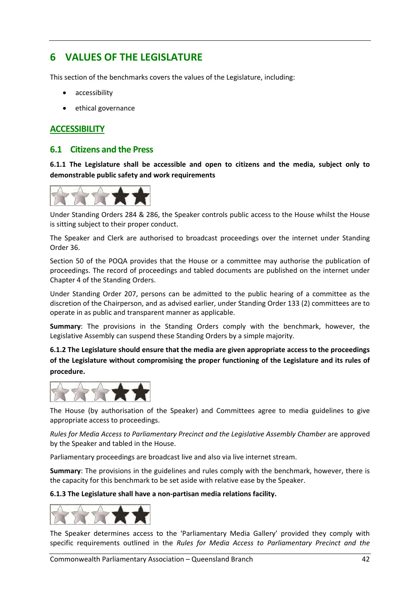# **6 VALUES OF THE LEGISLATURE**

This section of the benchmarks covers the values of the Legislature, including:

- accessibility
- ethical governance

## **ACCESSIBILITY**

#### **6.1 Citizens and the Press**

**6.1.1 The Legislature shall be accessible and open to citizens and the media, subject only to demonstrable public safety and work requirements** 

![](_page_42_Figure_7.jpeg)

Under Standing Orders 284 & 286, the Speaker controls public access to the House whilst the House is sitting subject to their proper conduct.

The Speaker and Clerk are authorised to broadcast proceedings over the internet under Standing Order 36.

Section 50 of the POQA provides that the House or a committee may authorise the publication of proceedings. The record of proceedings and tabled documents are published on the internet under Chapter 4 of the Standing Orders.

Under Standing Order 207, persons can be admitted to the public hearing of a committee as the discretion of the Chairperson, and as advised earlier, under Standing Order 133 (2) committees are to operate in as public and transparent manner as applicable.

**Summary**: The provisions in the Standing Orders comply with the benchmark, however, the Legislative Assembly can suspend these Standing Orders by a simple majority.

**6.1.2 The Legislature should ensure that the media are given appropriate access to the proceedings of the Legislature without compromising the proper functioning of the Legislature and its rules of procedure.** 

![](_page_42_Figure_14.jpeg)

The House (by authorisation of the Speaker) and Committees agree to media guidelines to give appropriate access to proceedings.

*Rules for Media Access to Parliamentary Precinct and the Legislative Assembly Chamber* are approved by the Speaker and tabled in the House.

Parliamentary proceedings are broadcast live and also via live internet stream.

**Summary**: The provisions in the guidelines and rules comply with the benchmark, however, there is the capacity for this benchmark to be set aside with relative ease by the Speaker.

**6.1.3 The Legislature shall have a non‐partisan media relations facility.** 

![](_page_42_Picture_20.jpeg)

The Speaker determines access to the 'Parliamentary Media Gallery' provided they comply with specific requirements outlined in the *Rules for Media Access to Parliamentary Precinct and the*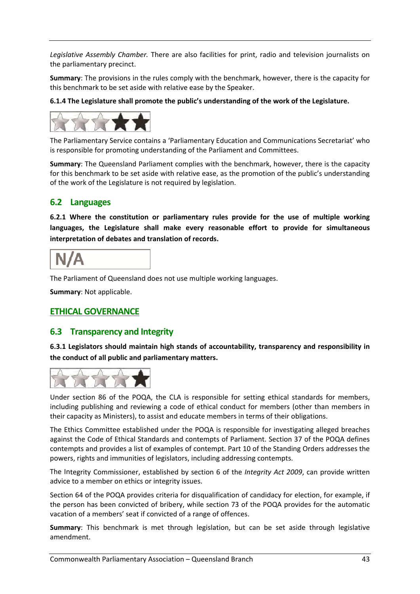*Legislative Assembly Chamber.* There are also facilities for print, radio and television journalists on the parliamentary precinct.

**Summary**: The provisions in the rules comply with the benchmark, however, there is the capacity for this benchmark to be set aside with relative ease by the Speaker.

**6.1.4 The Legislature shall promote the public's understanding of the work of the Legislature.** 

![](_page_43_Picture_3.jpeg)

The Parliamentary Service contains a 'Parliamentary Education and Communications Secretariat' who is responsible for promoting understanding of the Parliament and Committees.

**Summary**: The Queensland Parliament complies with the benchmark, however, there is the capacity for this benchmark to be set aside with relative ease, as the promotion of the public's understanding of the work of the Legislature is not required by legislation.

## **6.2 Languages**

**6.2.1 Where the constitution or parliamentary rules provide for the use of multiple working languages, the Legislature shall make every reasonable effort to provide for simultaneous interpretation of debates and translation of records.** 

The Parliament of Queensland does not use multiple working languages.

**Summary**: Not applicable.

#### **ETHICAL GOVERNANCE**

#### **6.3 Transparency and Integrity**

**6.3.1 Legislators should maintain high stands of accountability, transparency and responsibility in the conduct of all public and parliamentary matters.** 

![](_page_43_Figure_14.jpeg)

Under section 86 of the POQA, the CLA is responsible for setting ethical standards for members, including publishing and reviewing a code of ethical conduct for members (other than members in their capacity as Ministers), to assist and educate members in terms of their obligations.

The Ethics Committee established under the POQA is responsible for investigating alleged breaches against the Code of Ethical Standards and contempts of Parliament. Section 37 of the POQA defines contempts and provides a list of examples of contempt. Part 10 of the Standing Orders addresses the powers, rights and immunities of legislators, including addressing contempts.

The Integrity Commissioner, established by section 6 of the *Integrity Act 2009*, can provide written advice to a member on ethics or integrity issues.

Section 64 of the POQA provides criteria for disqualification of candidacy for election, for example, if the person has been convicted of bribery, while section 73 of the POQA provides for the automatic vacation of a members' seat if convicted of a range of offences.

**Summary**: This benchmark is met through legislation, but can be set aside through legislative amendment.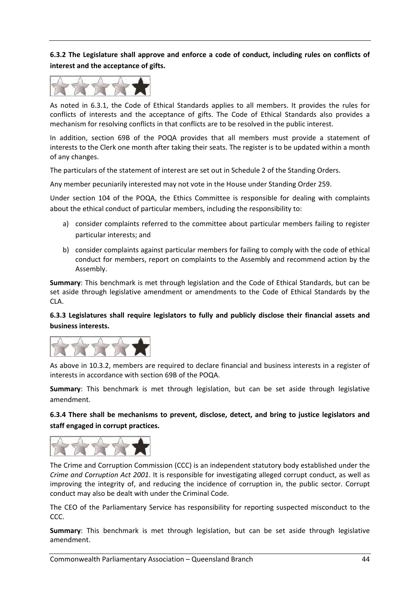**6.3.2 The Legislature shall approve and enforce a code of conduct, including rules on conflicts of interest and the acceptance of gifts.** 

![](_page_44_Picture_1.jpeg)

As noted in 6.3.1, the Code of Ethical Standards applies to all members. It provides the rules for conflicts of interests and the acceptance of gifts. The Code of Ethical Standards also provides a mechanism for resolving conflicts in that conflicts are to be resolved in the public interest.

In addition, section 69B of the POQA provides that all members must provide a statement of interests to the Clerk one month after taking their seats. The register is to be updated within a month of any changes.

The particulars of the statement of interest are set out in Schedule 2 of the Standing Orders.

Any member pecuniarily interested may not vote in the House under Standing Order 259.

Under section 104 of the POQA, the Ethics Committee is responsible for dealing with complaints about the ethical conduct of particular members, including the responsibility to:

- a) consider complaints referred to the committee about particular members failing to register particular interests; and
- b) consider complaints against particular members for failing to comply with the code of ethical conduct for members, report on complaints to the Assembly and recommend action by the Assembly.

**Summary**: This benchmark is met through legislation and the Code of Ethical Standards, but can be set aside through legislative amendment or amendments to the Code of Ethical Standards by the CLA.

#### **6.3.3 Legislatures shall require legislators to fully and publicly disclose their financial assets and business interests.**

![](_page_44_Picture_11.jpeg)

As above in 10.3.2, members are required to declare financial and business interests in a register of interests in accordance with section 69B of the POQA.

**Summary**: This benchmark is met through legislation, but can be set aside through legislative amendment.

**6.3.4 There shall be mechanisms to prevent, disclose, detect, and bring to justice legislators and staff engaged in corrupt practices.** 

![](_page_44_Figure_15.jpeg)

The Crime and Corruption Commission (CCC) is an independent statutory body established under the *Crime and Corruption Act 2001*. It is responsible for investigating alleged corrupt conduct, as well as improving the integrity of, and reducing the incidence of corruption in, the public sector. Corrupt conduct may also be dealt with under the Criminal Code.

The CEO of the Parliamentary Service has responsibility for reporting suspected misconduct to the CCC.

**Summary**: This benchmark is met through legislation, but can be set aside through legislative amendment.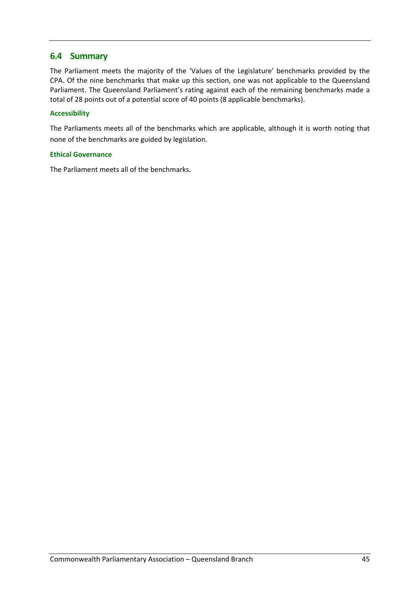## **6.4 Summary**

The Parliament meets the majority of the 'Values of the Legislature' benchmarks provided by the CPA. Of the nine benchmarks that make up this section, one was not applicable to the Queensland Parliament. The Queensland Parliament's rating against each of the remaining benchmarks made a total of 28 points out of a potential score of 40 points (8 applicable benchmarks).

#### **Accessibility**

The Parliaments meets all of the benchmarks which are applicable, although it is worth noting that none of the benchmarks are guided by legislation.

#### **Ethical Governance**

The Parliament meets all of the benchmarks.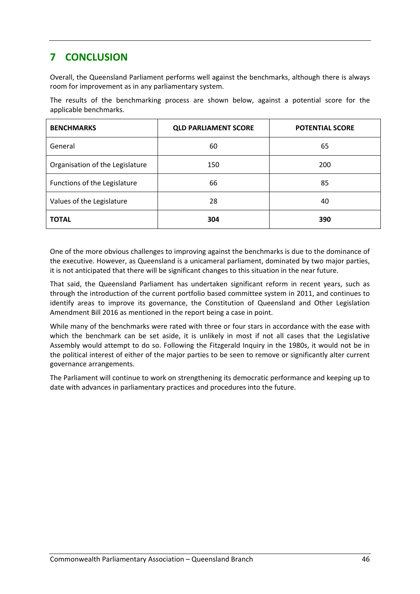# **7 CONCLUSION**

Overall, the Queensland Parliament performs well against the benchmarks, although there is always room for improvement as in any parliamentary system.

The results of the benchmarking process are shown below, against a potential score for the applicable benchmarks.

| <b>BENCHMARKS</b>               | <b>QLD PARLIAMENT SCORE</b> | <b>POTENTIAL SCORE</b> |
|---------------------------------|-----------------------------|------------------------|
| General                         | 60                          | 65                     |
| Organisation of the Legislature | 150                         | 200                    |
| Functions of the Legislature    | 66                          | 85                     |
| Values of the Legislature       | 28                          | 40                     |
| <b>TOTAL</b>                    | 304                         | 390                    |

One of the more obvious challenges to improving against the benchmarks is due to the dominance of the executive. However, as Queensland is a unicameral parliament, dominated by two major parties, it is not anticipated that there will be significant changes to this situation in the near future.

That said, the Queensland Parliament has undertaken significant reform in recent years, such as through the introduction of the current portfolio based committee system in 2011, and continues to identify areas to improve its governance, the Constitution of Queensland and Other Legislation Amendment Bill 2016 as mentioned in the report being a case in point.

While many of the benchmarks were rated with three or four stars in accordance with the ease with which the benchmark can be set aside, it is unlikely in most if not all cases that the Legislative Assembly would attempt to do so. Following the Fitzgerald Inquiry in the 1980s, it would not be in the political interest of either of the major parties to be seen to remove or significantly alter current governance arrangements.

The Parliament will continue to work on strengthening its democratic performance and keeping up to date with advances in parliamentary practices and procedures into the future.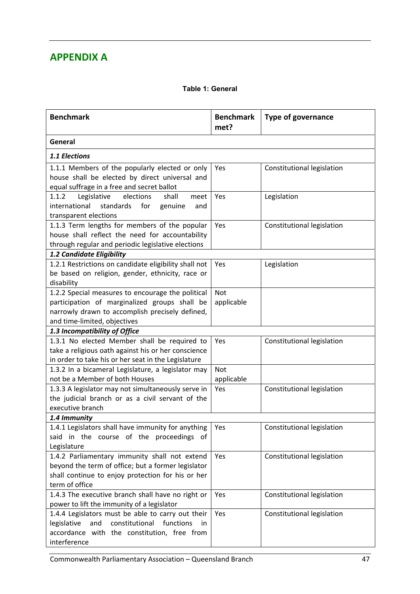# **APPENDIX A**

#### **Table 1: General**

| <b>Benchmark</b>                                                                                                                                                                      | <b>Benchmark</b><br>met? | <b>Type of governance</b>  |
|---------------------------------------------------------------------------------------------------------------------------------------------------------------------------------------|--------------------------|----------------------------|
| General                                                                                                                                                                               |                          |                            |
| 1.1 Elections                                                                                                                                                                         |                          |                            |
| 1.1.1 Members of the popularly elected or only<br>house shall be elected by direct universal and<br>equal suffrage in a free and secret ballot                                        | Yes                      | Constitutional legislation |
| 1.1.2<br>Legislative<br>elections<br>shall<br>meet<br>international<br>standards<br>for<br>genuine<br>and<br>transparent elections                                                    | Yes                      | Legislation                |
| 1.1.3 Term lengths for members of the popular<br>house shall reflect the need for accountability<br>through regular and periodic legislative elections                                | Yes                      | Constitutional legislation |
| 1.2 Candidate Eligibility                                                                                                                                                             |                          |                            |
| 1.2.1 Restrictions on candidate eligibility shall not<br>be based on religion, gender, ethnicity, race or<br>disability                                                               | Yes                      | Legislation                |
| 1.2.2 Special measures to encourage the political<br>participation of marginalized groups shall be<br>narrowly drawn to accomplish precisely defined,<br>and time-limited, objectives | <b>Not</b><br>applicable |                            |
| 1.3 Incompatibility of Office                                                                                                                                                         |                          |                            |
| 1.3.1 No elected Member shall be required to<br>take a religious oath against his or her conscience<br>in order to take his or her seat in the Legislature                            | Yes                      | Constitutional legislation |
| 1.3.2 In a bicameral Legislature, a legislator may<br>not be a Member of both Houses                                                                                                  | <b>Not</b><br>applicable |                            |
| 1.3.3 A legislator may not simultaneously serve in<br>the judicial branch or as a civil servant of the<br>executive branch                                                            | Yes                      | Constitutional legislation |
| 1.4 Immunity                                                                                                                                                                          |                          |                            |
| 1.4.1 Legislators shall have immunity for anything<br>said in the course of the proceedings of<br>Legislature                                                                         | Yes                      | Constitutional legislation |
| 1.4.2 Parliamentary immunity shall not extend<br>beyond the term of office; but a former legislator<br>shall continue to enjoy protection for his or her<br>term of office            | Yes                      | Constitutional legislation |
| 1.4.3 The executive branch shall have no right or<br>power to lift the immunity of a legislator                                                                                       | Yes                      | Constitutional legislation |
| 1.4.4 Legislators must be able to carry out their<br>legislative<br>and<br>constitutional<br>functions<br>in<br>accordance with the constitution, free from<br>interference           | Yes                      | Constitutional legislation |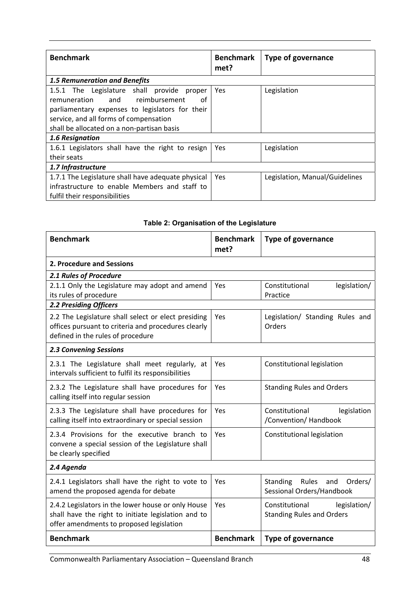| <b>Benchmark</b>                                                                                                                                                                                                                                              | <b>Benchmark</b><br>met? | Type of governance             |
|---------------------------------------------------------------------------------------------------------------------------------------------------------------------------------------------------------------------------------------------------------------|--------------------------|--------------------------------|
| <b>1.5 Remuneration and Benefits</b>                                                                                                                                                                                                                          |                          |                                |
| 1.5.1 The Legislature shall provide<br>proper<br>and reimbursement<br>remuneration<br>οf<br>parliamentary expenses to legislators for their<br>service, and all forms of compensation<br>shall be allocated on a non-partisan basis<br><b>1.6 Resignation</b> | <b>Yes</b>               | Legislation                    |
| 1.6.1 Legislators shall have the right to resign<br>their seats                                                                                                                                                                                               | Yes                      | Legislation                    |
| 1.7 Infrastructure                                                                                                                                                                                                                                            |                          |                                |
| 1.7.1 The Legislature shall have adequate physical<br>infrastructure to enable Members and staff to<br>fulfil their responsibilities                                                                                                                          | <b>Yes</b>               | Legislation, Manual/Guidelines |

#### **Benchmark Benchmark met? Type of governance 2. Procedure and Sessions** *2.1 Rules of Procedure* 2.1.1 Only the Legislature may adopt and amend its rules of procedure Yes | Constitutional legislation/ Practice *2.2 Presiding Officers* 2.2 The Legislature shall select or elect presiding offices pursuant to criteria and procedures clearly defined in the rules of procedure Yes | Legislation/ Standing Rules and Orders *2.3 Convening Sessions* 2.3.1 The Legislature shall meet regularly, at intervals sufficient to fulfil its responsibilities Yes | Constitutional legislation 2.3.2 The Legislature shall have procedures for calling itself into regular session Yes Standing Rules and Orders 2.3.3 The Legislature shall have procedures for calling itself into extraordinary or special session Yes | Constitutional | legislation /Convention/ Handbook 2.3.4 Provisions for the executive branch to convene a special session of the Legislature shall be clearly specified Yes | Constitutional legislation *2.4 Agenda* 2.4.1 Legislators shall have the right to vote to amend the proposed agenda for debate Yes | Standing Rules and Orders/ Sessional Orders/Handbook 2.4.2 Legislators in the lower house or only House shall have the right to initiate legislation and to offer amendments to proposed legislation Yes | Constitutional legislation/ Standing Rules and Orders **Benchmark Benchmark Type of governance**

#### **Table 2: Organisation of the Legislature**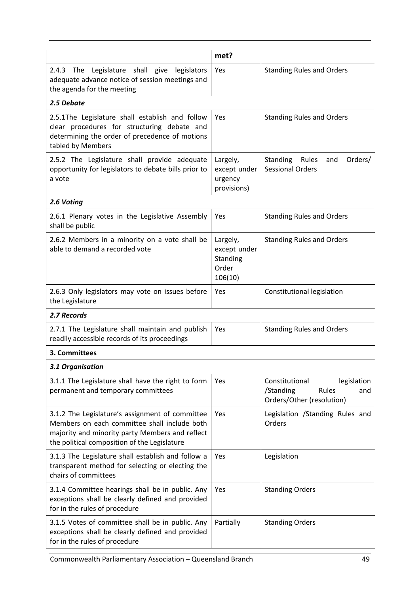|                                                                                                                                                                                                    | met?                                                     |                                                                                         |
|----------------------------------------------------------------------------------------------------------------------------------------------------------------------------------------------------|----------------------------------------------------------|-----------------------------------------------------------------------------------------|
| Legislature shall give<br>2.4.3 The<br>legislators<br>adequate advance notice of session meetings and<br>the agenda for the meeting                                                                | Yes                                                      | <b>Standing Rules and Orders</b>                                                        |
| 2.5 Debate                                                                                                                                                                                         |                                                          |                                                                                         |
| 2.5.1The Legislature shall establish and follow<br>clear procedures for structuring debate and<br>determining the order of precedence of motions<br>tabled by Members                              | Yes                                                      | <b>Standing Rules and Orders</b>                                                        |
| 2.5.2 The Legislature shall provide adequate<br>opportunity for legislators to debate bills prior to<br>a vote                                                                                     | Largely,<br>except under<br>urgency<br>provisions)       | Standing<br>Rules<br>Orders/<br>and<br><b>Sessional Orders</b>                          |
| 2.6 Voting                                                                                                                                                                                         |                                                          |                                                                                         |
| 2.6.1 Plenary votes in the Legislative Assembly<br>shall be public                                                                                                                                 | Yes                                                      | <b>Standing Rules and Orders</b>                                                        |
| 2.6.2 Members in a minority on a vote shall be<br>able to demand a recorded vote                                                                                                                   | Largely,<br>except under<br>Standing<br>Order<br>106(10) | <b>Standing Rules and Orders</b>                                                        |
| 2.6.3 Only legislators may vote on issues before<br>the Legislature                                                                                                                                | Yes                                                      | Constitutional legislation                                                              |
| 2.7 Records                                                                                                                                                                                        |                                                          |                                                                                         |
| 2.7.1 The Legislature shall maintain and publish<br>readily accessible records of its proceedings                                                                                                  | Yes                                                      | <b>Standing Rules and Orders</b>                                                        |
| 3. Committees                                                                                                                                                                                      |                                                          |                                                                                         |
| 3.1 Organisation                                                                                                                                                                                   |                                                          |                                                                                         |
| 3.1.1 The Legislature shall have the right to form<br>permanent and temporary committees                                                                                                           | Yes                                                      | Constitutional<br>legislation<br>/Standing<br>Rules<br>and<br>Orders/Other (resolution) |
| 3.1.2 The Legislature's assignment of committee<br>Members on each committee shall include both<br>majority and minority party Members and reflect<br>the political composition of the Legislature | Yes                                                      | Legislation /Standing Rules and<br>Orders                                               |
| 3.1.3 The Legislature shall establish and follow a<br>transparent method for selecting or electing the<br>chairs of committees                                                                     | Yes                                                      | Legislation                                                                             |
| 3.1.4 Committee hearings shall be in public. Any<br>exceptions shall be clearly defined and provided<br>for in the rules of procedure                                                              | Yes                                                      | <b>Standing Orders</b>                                                                  |
| 3.1.5 Votes of committee shall be in public. Any<br>exceptions shall be clearly defined and provided<br>for in the rules of procedure                                                              | Partially                                                | <b>Standing Orders</b>                                                                  |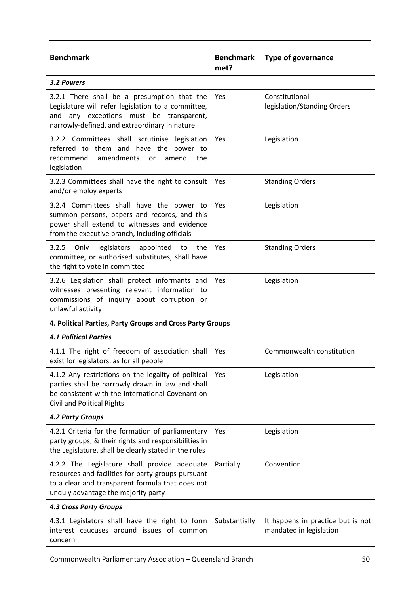| <b>Benchmark</b>                                                                                                                                                                                 | <b>Benchmark</b><br>met? | <b>Type of governance</b>                                    |
|--------------------------------------------------------------------------------------------------------------------------------------------------------------------------------------------------|--------------------------|--------------------------------------------------------------|
| 3.2 Powers                                                                                                                                                                                       |                          |                                                              |
| 3.2.1 There shall be a presumption that the<br>Legislature will refer legislation to a committee,<br>and any exceptions must be transparent,<br>narrowly-defined, and extraordinary in nature    | Yes                      | Constitutional<br>legislation/Standing Orders                |
| 3.2.2 Committees shall scrutinise legislation<br>referred to them and have the power to<br>amendments<br>recommend<br>amend<br>the<br><b>or</b><br>legislation                                   | Yes                      | Legislation                                                  |
| 3.2.3 Committees shall have the right to consult<br>and/or employ experts                                                                                                                        | Yes                      | <b>Standing Orders</b>                                       |
| 3.2.4 Committees shall have the power to<br>summon persons, papers and records, and this<br>power shall extend to witnesses and evidence<br>from the executive branch, including officials       | Yes                      | Legislation                                                  |
| 3.2.5 Only legislators appointed<br>to<br>the<br>committee, or authorised substitutes, shall have<br>the right to vote in committee                                                              | Yes                      | <b>Standing Orders</b>                                       |
| 3.2.6 Legislation shall protect informants and<br>witnesses presenting relevant information to<br>commissions of inquiry about corruption or<br>unlawful activity                                | Yes                      | Legislation                                                  |
| 4. Political Parties, Party Groups and Cross Party Groups                                                                                                                                        |                          |                                                              |
| <b>4.1 Political Parties</b>                                                                                                                                                                     |                          |                                                              |
| 4.1.1 The right of freedom of association shall<br>exist for legislators, as for all people                                                                                                      | Yes                      | Commonwealth constitution                                    |
| 4.1.2 Any restrictions on the legality of political<br>parties shall be narrowly drawn in law and shall<br>be consistent with the International Covenant on<br><b>Civil and Political Rights</b> | Yes                      | Legislation                                                  |
| <b>4.2 Party Groups</b>                                                                                                                                                                          |                          |                                                              |
| 4.2.1 Criteria for the formation of parliamentary<br>party groups, & their rights and responsibilities in<br>the Legislature, shall be clearly stated in the rules                               | Yes                      | Legislation                                                  |
| 4.2.2 The Legislature shall provide adequate<br>resources and facilities for party groups pursuant<br>to a clear and transparent formula that does not<br>unduly advantage the majority party    | Partially                | Convention                                                   |
| <b>4.3 Cross Party Groups</b>                                                                                                                                                                    |                          |                                                              |
| 4.3.1 Legislators shall have the right to form<br>interest caucuses around issues of common<br>concern                                                                                           | Substantially            | It happens in practice but is not<br>mandated in legislation |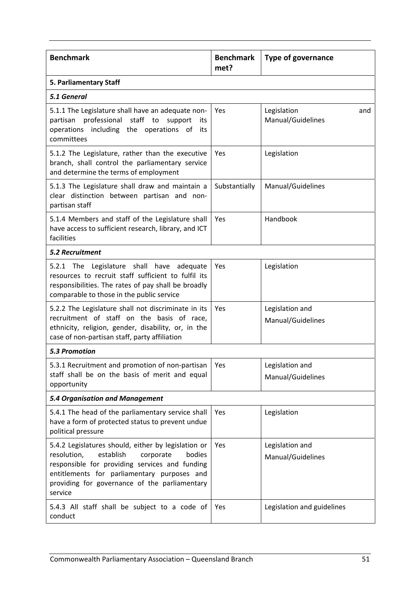| <b>Benchmark</b>                                                                                                                                                                                                                                                    | <b>Benchmark</b> | <b>Type of governance</b>               |  |
|---------------------------------------------------------------------------------------------------------------------------------------------------------------------------------------------------------------------------------------------------------------------|------------------|-----------------------------------------|--|
|                                                                                                                                                                                                                                                                     | met?             |                                         |  |
| 5. Parliamentary Staff                                                                                                                                                                                                                                              |                  |                                         |  |
| 5.1 General                                                                                                                                                                                                                                                         |                  |                                         |  |
| 5.1.1 The Legislature shall have an adequate non-<br>professional staff to<br>partisan<br>support<br>its<br>operations including the operations of<br>its<br>committees                                                                                             | Yes              | Legislation<br>and<br>Manual/Guidelines |  |
| 5.1.2 The Legislature, rather than the executive<br>branch, shall control the parliamentary service<br>and determine the terms of employment                                                                                                                        | Yes              | Legislation                             |  |
| 5.1.3 The Legislature shall draw and maintain a<br>clear distinction between partisan and non-<br>partisan staff                                                                                                                                                    | Substantially    | Manual/Guidelines                       |  |
| 5.1.4 Members and staff of the Legislature shall<br>have access to sufficient research, library, and ICT<br>facilities                                                                                                                                              | Yes              | Handbook                                |  |
| <b>5.2 Recruitment</b>                                                                                                                                                                                                                                              |                  |                                         |  |
| 5.2.1 The Legislature shall have<br>adequate<br>resources to recruit staff sufficient to fulfil its<br>responsibilities. The rates of pay shall be broadly<br>comparable to those in the public service                                                             | Yes              | Legislation                             |  |
| 5.2.2 The Legislature shall not discriminate in its<br>recruitment of staff on the basis of race,<br>ethnicity, religion, gender, disability, or, in the<br>case of non-partisan staff, party affiliation                                                           | Yes              | Legislation and<br>Manual/Guidelines    |  |
| <b>5.3 Promotion</b>                                                                                                                                                                                                                                                |                  |                                         |  |
| 5.3.1 Recruitment and promotion of non-partisan<br>staff shall be on the basis of merit and equal<br>opportunity                                                                                                                                                    | Yes              | Legislation and<br>Manual/Guidelines    |  |
| 5.4 Organisation and Management                                                                                                                                                                                                                                     |                  |                                         |  |
| 5.4.1 The head of the parliamentary service shall<br>have a form of protected status to prevent undue<br>political pressure                                                                                                                                         | Yes              | Legislation                             |  |
| 5.4.2 Legislatures should, either by legislation or<br>resolution,<br>establish<br>corporate<br>bodies<br>responsible for providing services and funding<br>entitlements for parliamentary purposes and<br>providing for governance of the parliamentary<br>service | Yes              | Legislation and<br>Manual/Guidelines    |  |
| 5.4.3 All staff shall be subject to a code of<br>conduct                                                                                                                                                                                                            | Yes              | Legislation and guidelines              |  |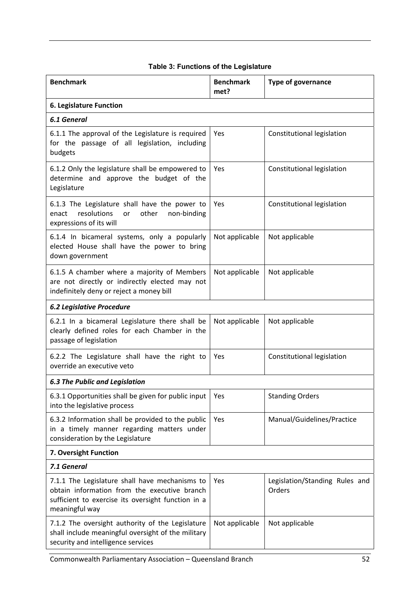| <b>Benchmark</b>                                                                                                                                                       | <b>Benchmark</b><br>met? | <b>Type of governance</b>                |
|------------------------------------------------------------------------------------------------------------------------------------------------------------------------|--------------------------|------------------------------------------|
| 6. Legislature Function                                                                                                                                                |                          |                                          |
| <b>6.1 General</b>                                                                                                                                                     |                          |                                          |
| 6.1.1 The approval of the Legislature is required<br>for the passage of all legislation, including<br>budgets                                                          | Yes                      | Constitutional legislation               |
| 6.1.2 Only the legislature shall be empowered to<br>determine and approve the budget of the<br>Legislature                                                             | Yes                      | Constitutional legislation               |
| 6.1.3 The Legislature shall have the power to<br>resolutions<br>other<br>enact<br>non-binding<br>or<br>expressions of its will                                         | Yes                      | Constitutional legislation               |
| 6.1.4 In bicameral systems, only a popularly<br>elected House shall have the power to bring<br>down government                                                         | Not applicable           | Not applicable                           |
| 6.1.5 A chamber where a majority of Members<br>are not directly or indirectly elected may not<br>indefinitely deny or reject a money bill                              | Not applicable           | Not applicable                           |
| <b>6.2 Legislative Procedure</b>                                                                                                                                       |                          |                                          |
| 6.2.1 In a bicameral Legislature there shall be<br>clearly defined roles for each Chamber in the<br>passage of legislation                                             | Not applicable           | Not applicable                           |
| 6.2.2 The Legislature shall have the right to<br>override an executive veto                                                                                            | Yes                      | Constitutional legislation               |
| <b>6.3 The Public and Legislation</b>                                                                                                                                  |                          |                                          |
| 6.3.1 Opportunities shall be given for public input<br>into the legislative process                                                                                    | Yes                      | <b>Standing Orders</b>                   |
| 6.3.2 Information shall be provided to the public<br>in a timely manner regarding matters under<br>consideration by the Legislature                                    | Yes                      | Manual/Guidelines/Practice               |
| 7. Oversight Function                                                                                                                                                  |                          |                                          |
| 7.1 General                                                                                                                                                            |                          |                                          |
| 7.1.1 The Legislature shall have mechanisms to<br>obtain information from the executive branch<br>sufficient to exercise its oversight function in a<br>meaningful way | Yes                      | Legislation/Standing Rules and<br>Orders |
| 7.1.2 The oversight authority of the Legislature<br>shall include meaningful oversight of the military<br>security and intelligence services                           | Not applicable           | Not applicable                           |

## **Table 3: Functions of the Legislature**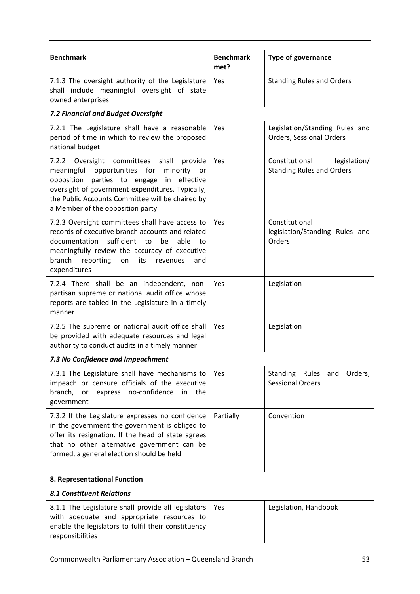| <b>Benchmark</b>                                                                                                                                                                                                                                                                                   | <b>Benchmark</b><br>met? | <b>Type of governance</b>                                          |
|----------------------------------------------------------------------------------------------------------------------------------------------------------------------------------------------------------------------------------------------------------------------------------------------------|--------------------------|--------------------------------------------------------------------|
| 7.1.3 The oversight authority of the Legislature<br>shall include meaningful oversight of state<br>owned enterprises                                                                                                                                                                               | Yes                      | <b>Standing Rules and Orders</b>                                   |
| 7.2 Financial and Budget Oversight                                                                                                                                                                                                                                                                 |                          |                                                                    |
| 7.2.1 The Legislature shall have a reasonable<br>period of time in which to review the proposed<br>national budget                                                                                                                                                                                 | Yes                      | Legislation/Standing Rules and<br><b>Orders, Sessional Orders</b>  |
| 7.2.2 Oversight committees shall<br>provide<br>opportunities for<br>meaningful<br>minority<br>or<br>effective<br>opposition<br>parties to engage<br>in<br>oversight of government expenditures. Typically,<br>the Public Accounts Committee will be chaired by<br>a Member of the opposition party | Yes                      | Constitutional<br>legislation/<br><b>Standing Rules and Orders</b> |
| 7.2.3 Oversight committees shall have access to<br>records of executive branch accounts and related<br>sufficient<br>documentation<br>be<br>able<br>to<br>to<br>meaningfully review the accuracy of executive<br>branch<br>reporting<br>its<br>on<br>revenues<br>and<br>expenditures               | Yes                      | Constitutional<br>legislation/Standing Rules and<br>Orders         |
| 7.2.4 There shall be an independent, non-<br>partisan supreme or national audit office whose<br>reports are tabled in the Legislature in a timely<br>manner                                                                                                                                        | Yes                      | Legislation                                                        |
| 7.2.5 The supreme or national audit office shall<br>be provided with adequate resources and legal<br>authority to conduct audits in a timely manner                                                                                                                                                | Yes                      | Legislation                                                        |
| 7.3 No Confidence and Impeachment                                                                                                                                                                                                                                                                  |                          |                                                                    |
| 7.3.1 The Legislature shall have mechanisms to<br>impeach or censure officials of the executive<br>branch,<br>or<br>express<br>no-confidence<br>in<br>the<br>government                                                                                                                            | Yes                      | Standing Rules<br>Orders,<br>and<br><b>Sessional Orders</b>        |
| 7.3.2 If the Legislature expresses no confidence<br>in the government the government is obliged to<br>offer its resignation. If the head of state agrees<br>that no other alternative government can be<br>formed, a general election should be held                                               | Partially                | Convention                                                         |
| 8. Representational Function                                                                                                                                                                                                                                                                       |                          |                                                                    |
| <b>8.1 Constituent Relations</b>                                                                                                                                                                                                                                                                   |                          |                                                                    |
| 8.1.1 The Legislature shall provide all legislators<br>with adequate and appropriate resources to<br>enable the legislators to fulfil their constituency<br>responsibilities                                                                                                                       | Yes                      | Legislation, Handbook                                              |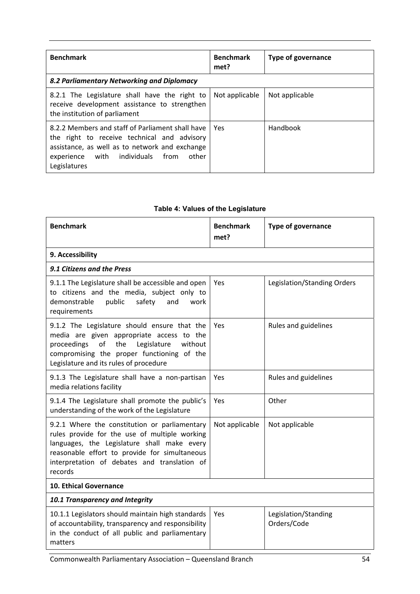| <b>Benchmark</b>                                                                                                                                                                                                  | <b>Benchmark</b><br>met? | <b>Type of governance</b> |
|-------------------------------------------------------------------------------------------------------------------------------------------------------------------------------------------------------------------|--------------------------|---------------------------|
| 8.2 Parliamentary Networking and Diplomacy                                                                                                                                                                        |                          |                           |
| 8.2.1 The Legislature shall have the right to<br>receive development assistance to strengthen<br>the institution of parliament                                                                                    | Not applicable           | Not applicable            |
| 8.2.2 Members and staff of Parliament shall have<br>the right to receive technical and advisory<br>assistance, as well as to network and exchange<br>other<br>experience with individuals<br>from<br>Legislatures | Yes                      | Handbook                  |

| <b>Benchmark</b>                                                                                                                                                                                                                                          | <b>Benchmark</b><br>met? | <b>Type of governance</b>           |  |
|-----------------------------------------------------------------------------------------------------------------------------------------------------------------------------------------------------------------------------------------------------------|--------------------------|-------------------------------------|--|
| 9. Accessibility                                                                                                                                                                                                                                          |                          |                                     |  |
| 9.1 Citizens and the Press                                                                                                                                                                                                                                |                          |                                     |  |
| 9.1.1 The Legislature shall be accessible and open<br>to citizens and the media, subject only to<br>public<br>demonstrable<br>safety<br>and<br>work<br>requirements                                                                                       | Yes                      | Legislation/Standing Orders         |  |
| 9.1.2 The Legislature should ensure that the<br>media are given appropriate access to the<br>the<br>Legislature<br>without<br>proceedings<br>of<br>compromising the proper functioning of the<br>Legislature and its rules of procedure                   | Yes                      | Rules and guidelines                |  |
| 9.1.3 The Legislature shall have a non-partisan<br>media relations facility                                                                                                                                                                               | Yes                      | Rules and guidelines                |  |
| 9.1.4 The Legislature shall promote the public's<br>understanding of the work of the Legislature                                                                                                                                                          | <b>Yes</b>               | Other                               |  |
| 9.2.1 Where the constitution or parliamentary<br>rules provide for the use of multiple working<br>languages, the Legislature shall make every<br>reasonable effort to provide for simultaneous<br>interpretation of debates and translation of<br>records | Not applicable           | Not applicable                      |  |
| 10. Ethical Governance                                                                                                                                                                                                                                    |                          |                                     |  |
| 10.1 Transparency and Integrity                                                                                                                                                                                                                           |                          |                                     |  |
| 10.1.1 Legislators should maintain high standards<br>of accountability, transparency and responsibility<br>in the conduct of all public and parliamentary<br>matters                                                                                      | Yes                      | Legislation/Standing<br>Orders/Code |  |

# **Table 4: Values of the Legislature**